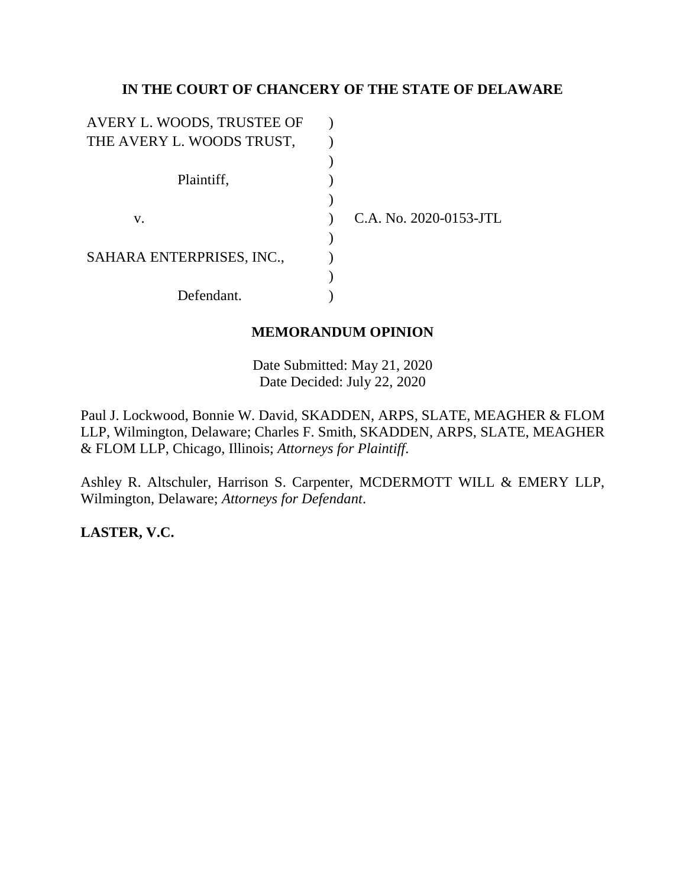# **IN THE COURT OF CHANCERY OF THE STATE OF DELAWARE**

| AVERY L. WOODS, TRUSTEE OF |                        |
|----------------------------|------------------------|
| THE AVERY L. WOODS TRUST,  |                        |
|                            |                        |
| Plaintiff,                 |                        |
|                            |                        |
| V.                         | C.A. No. 2020-0153-JTL |
|                            |                        |
| SAHARA ENTERPRISES, INC.,  |                        |
|                            |                        |
| Defendant.                 |                        |

# **MEMORANDUM OPINION**

Date Submitted: May 21, 2020 Date Decided: July 22, 2020

Paul J. Lockwood, Bonnie W. David, SKADDEN, ARPS, SLATE, MEAGHER & FLOM LLP, Wilmington, Delaware; Charles F. Smith, SKADDEN, ARPS, SLATE, MEAGHER & FLOM LLP, Chicago, Illinois; *Attorneys for Plaintiff*.

Ashley R. Altschuler, Harrison S. Carpenter, MCDERMOTT WILL & EMERY LLP, Wilmington, Delaware; *Attorneys for Defendant*.

**LASTER, V.C.**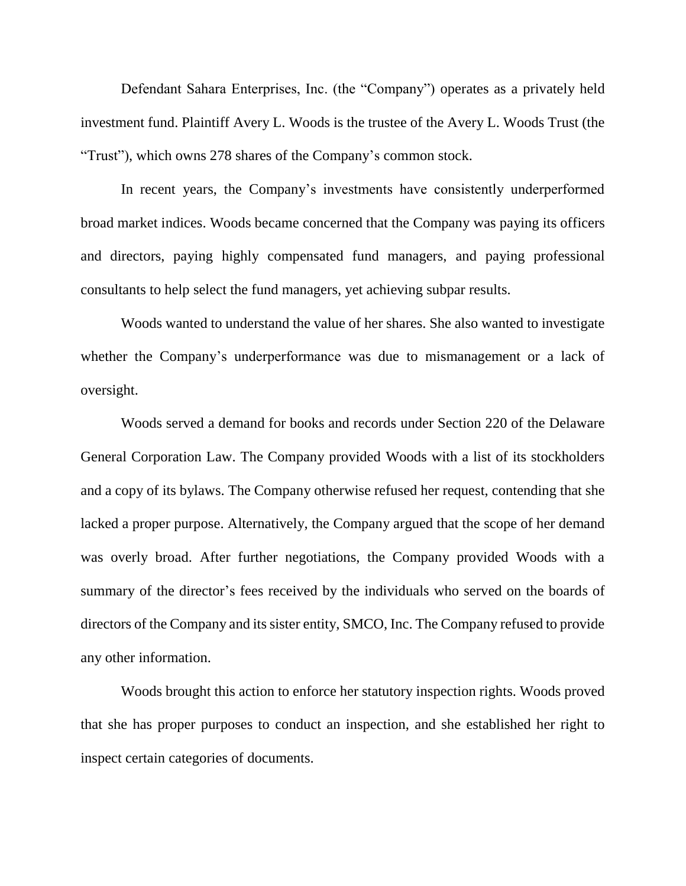Defendant Sahara Enterprises, Inc. (the "Company") operates as a privately held investment fund. Plaintiff Avery L. Woods is the trustee of the Avery L. Woods Trust (the "Trust"), which owns 278 shares of the Company's common stock.

In recent years, the Company's investments have consistently underperformed broad market indices. Woods became concerned that the Company was paying its officers and directors, paying highly compensated fund managers, and paying professional consultants to help select the fund managers, yet achieving subpar results.

Woods wanted to understand the value of her shares. She also wanted to investigate whether the Company's underperformance was due to mismanagement or a lack of oversight.

Woods served a demand for books and records under Section 220 of the Delaware General Corporation Law. The Company provided Woods with a list of its stockholders and a copy of its bylaws. The Company otherwise refused her request, contending that she lacked a proper purpose. Alternatively, the Company argued that the scope of her demand was overly broad. After further negotiations, the Company provided Woods with a summary of the director's fees received by the individuals who served on the boards of directors of the Company and its sister entity, SMCO, Inc. The Company refused to provide any other information.

Woods brought this action to enforce her statutory inspection rights. Woods proved that she has proper purposes to conduct an inspection, and she established her right to inspect certain categories of documents.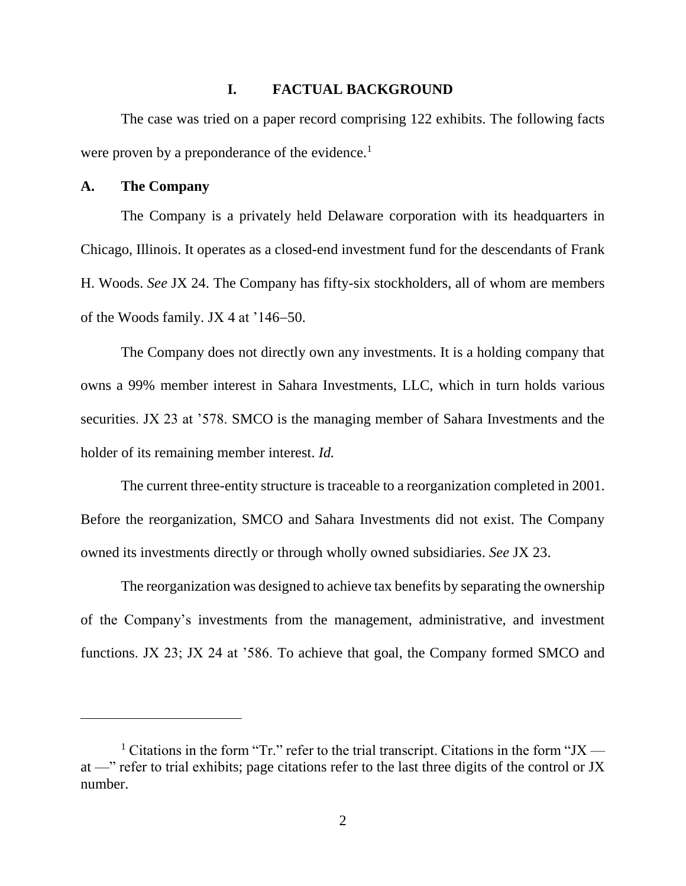## **I. FACTUAL BACKGROUND**

The case was tried on a paper record comprising 122 exhibits. The following facts were proven by a preponderance of the evidence.<sup>1</sup>

### **A. The Company**

The Company is a privately held Delaware corporation with its headquarters in Chicago, Illinois. It operates as a closed-end investment fund for the descendants of Frank H. Woods. *See* JX 24. The Company has fifty-six stockholders, all of whom are members of the Woods family. JX 4 at  $146-50$ .

The Company does not directly own any investments. It is a holding company that owns a 99% member interest in Sahara Investments, LLC, which in turn holds various securities. JX 23 at '578. SMCO is the managing member of Sahara Investments and the holder of its remaining member interest. *Id.*

The current three-entity structure is traceable to a reorganization completed in 2001. Before the reorganization, SMCO and Sahara Investments did not exist. The Company owned its investments directly or through wholly owned subsidiaries. *See* JX 23.

The reorganization was designed to achieve tax benefits by separating the ownership of the Company's investments from the management, administrative, and investment functions. JX 23; JX 24 at '586. To achieve that goal, the Company formed SMCO and

<sup>&</sup>lt;sup>1</sup> Citations in the form "Tr." refer to the trial transcript. Citations in the form "JX at —" refer to trial exhibits; page citations refer to the last three digits of the control or JX number.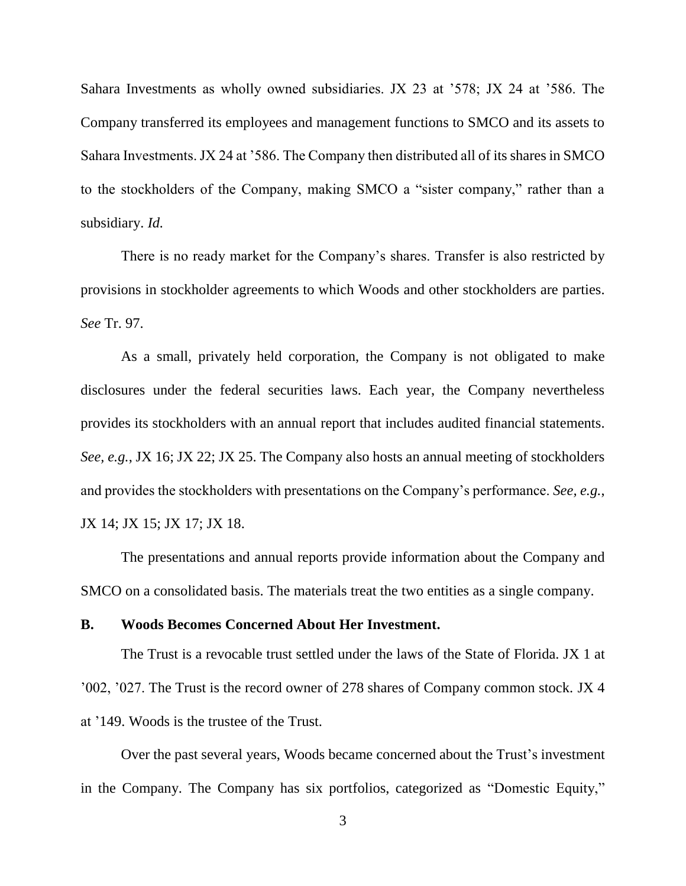Sahara Investments as wholly owned subsidiaries. JX 23 at '578; JX 24 at '586. The Company transferred its employees and management functions to SMCO and its assets to Sahara Investments. JX 24 at '586. The Company then distributed all of its shares in SMCO to the stockholders of the Company, making SMCO a "sister company," rather than a subsidiary. *Id.*

There is no ready market for the Company's shares. Transfer is also restricted by provisions in stockholder agreements to which Woods and other stockholders are parties. *See* Tr. 97.

As a small, privately held corporation, the Company is not obligated to make disclosures under the federal securities laws. Each year, the Company nevertheless provides its stockholders with an annual report that includes audited financial statements. *See, e.g.*, JX 16; JX 22; JX 25. The Company also hosts an annual meeting of stockholders and provides the stockholders with presentations on the Company's performance. *See, e.g.*, JX 14; JX 15; JX 17; JX 18.

The presentations and annual reports provide information about the Company and SMCO on a consolidated basis. The materials treat the two entities as a single company.

### **B. Woods Becomes Concerned About Her Investment.**

The Trust is a revocable trust settled under the laws of the State of Florida. JX 1 at '002, '027. The Trust is the record owner of 278 shares of Company common stock. JX 4 at '149. Woods is the trustee of the Trust.

Over the past several years, Woods became concerned about the Trust's investment in the Company. The Company has six portfolios, categorized as "Domestic Equity,"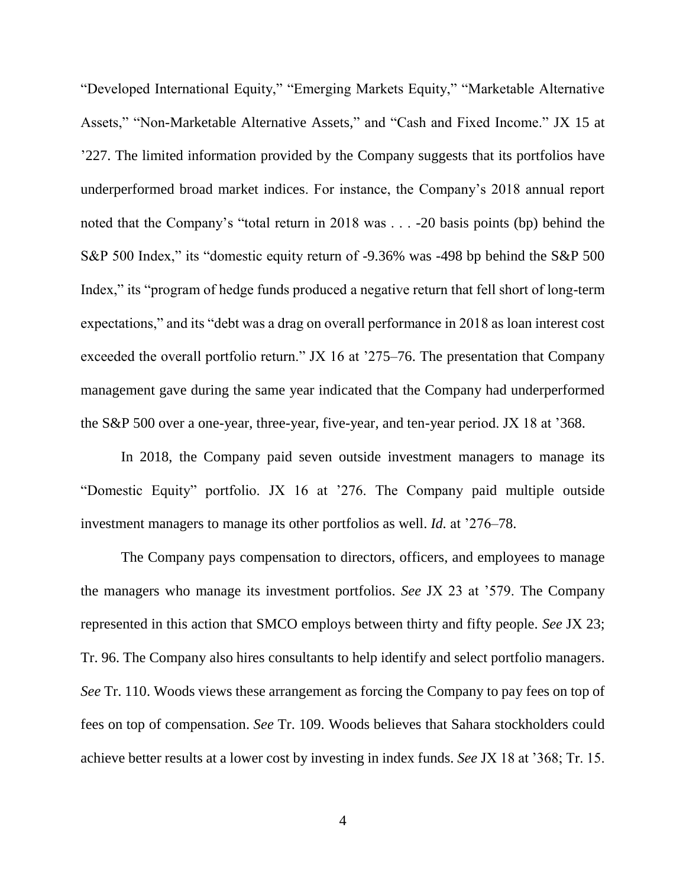"Developed International Equity," "Emerging Markets Equity," "Marketable Alternative Assets," "Non-Marketable Alternative Assets," and "Cash and Fixed Income." JX 15 at '227. The limited information provided by the Company suggests that its portfolios have underperformed broad market indices. For instance, the Company's 2018 annual report noted that the Company's "total return in 2018 was . . . -20 basis points (bp) behind the S&P 500 Index," its "domestic equity return of -9.36% was -498 bp behind the S&P 500 Index," its "program of hedge funds produced a negative return that fell short of long-term expectations," and its "debt was a drag on overall performance in 2018 as loan interest cost exceeded the overall portfolio return." JX 16 at '275–76. The presentation that Company management gave during the same year indicated that the Company had underperformed the S&P 500 over a one-year, three-year, five-year, and ten-year period. JX 18 at '368.

In 2018, the Company paid seven outside investment managers to manage its "Domestic Equity" portfolio. JX 16 at '276. The Company paid multiple outside investment managers to manage its other portfolios as well. *Id.* at '276–78.

The Company pays compensation to directors, officers, and employees to manage the managers who manage its investment portfolios. *See* JX 23 at '579. The Company represented in this action that SMCO employs between thirty and fifty people. *See* JX 23; Tr. 96. The Company also hires consultants to help identify and select portfolio managers. *See* Tr. 110. Woods views these arrangement as forcing the Company to pay fees on top of fees on top of compensation. *See* Tr. 109. Woods believes that Sahara stockholders could achieve better results at a lower cost by investing in index funds. *See* JX 18 at '368; Tr. 15.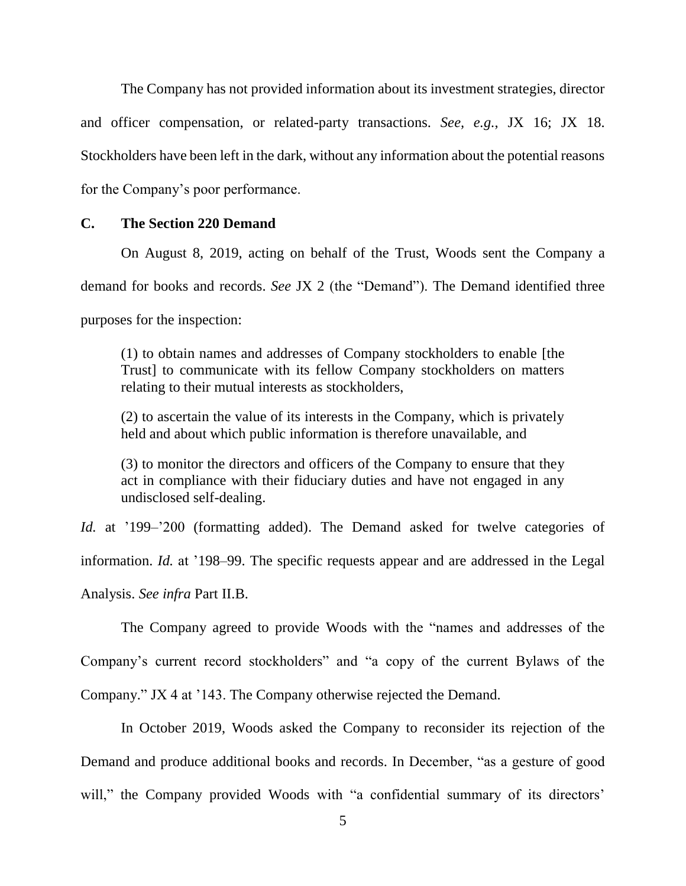The Company has not provided information about its investment strategies, director and officer compensation, or related-party transactions. *See, e.g.*, JX 16; JX 18. Stockholders have been left in the dark, without any information about the potential reasons for the Company's poor performance.

## **C. The Section 220 Demand**

On August 8, 2019, acting on behalf of the Trust, Woods sent the Company a

demand for books and records. *See* JX 2 (the "Demand"). The Demand identified three

purposes for the inspection:

(1) to obtain names and addresses of Company stockholders to enable [the Trust] to communicate with its fellow Company stockholders on matters relating to their mutual interests as stockholders,

(2) to ascertain the value of its interests in the Company, which is privately held and about which public information is therefore unavailable, and

(3) to monitor the directors and officers of the Company to ensure that they act in compliance with their fiduciary duties and have not engaged in any undisclosed self-dealing.

*Id.* at '199–'200 (formatting added). The Demand asked for twelve categories of information. *Id.* at '198–99. The specific requests appear and are addressed in the Legal Analysis. *See infra* Part [II.B.](#page-22-0)

The Company agreed to provide Woods with the "names and addresses of the Company's current record stockholders" and "a copy of the current Bylaws of the Company." JX 4 at '143. The Company otherwise rejected the Demand.

In October 2019, Woods asked the Company to reconsider its rejection of the Demand and produce additional books and records. In December, "as a gesture of good will," the Company provided Woods with "a confidential summary of its directors'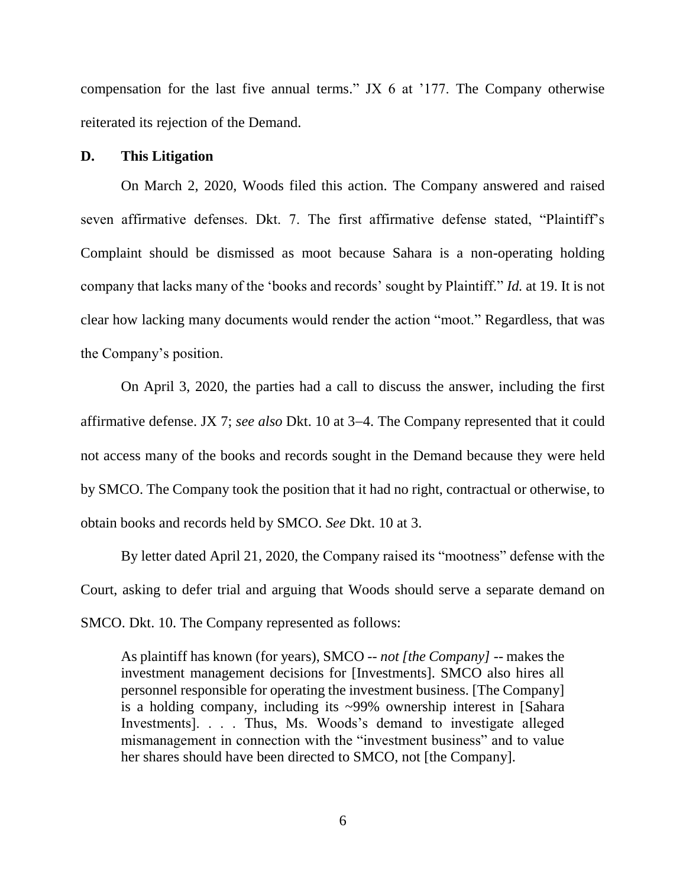compensation for the last five annual terms." JX 6 at '177. The Company otherwise reiterated its rejection of the Demand.

### **D. This Litigation**

On March 2, 2020, Woods filed this action. The Company answered and raised seven affirmative defenses. Dkt. 7. The first affirmative defense stated, "Plaintiff's Complaint should be dismissed as moot because Sahara is a non-operating holding company that lacks many of the 'books and records' sought by Plaintiff." *Id.* at 19. It is not clear how lacking many documents would render the action "moot." Regardless, that was the Company's position.

On April 3, 2020, the parties had a call to discuss the answer, including the first affirmative defense. JX 7; *see also* Dkt. 10 at 3–4. The Company represented that it could not access many of the books and records sought in the Demand because they were held by SMCO. The Company took the position that it had no right, contractual or otherwise, to obtain books and records held by SMCO. *See* Dkt. 10 at 3.

By letter dated April 21, 2020, the Company raised its "mootness" defense with the Court, asking to defer trial and arguing that Woods should serve a separate demand on SMCO. Dkt. 10. The Company represented as follows:

As plaintiff has known (for years), SMCO -- *not [the Company]* -- makes the investment management decisions for [Investments]. SMCO also hires all personnel responsible for operating the investment business. [The Company] is a holding company, including its ~99% ownership interest in [Sahara Investments]. . . . Thus, Ms. Woods's demand to investigate alleged mismanagement in connection with the "investment business" and to value her shares should have been directed to SMCO, not [the Company].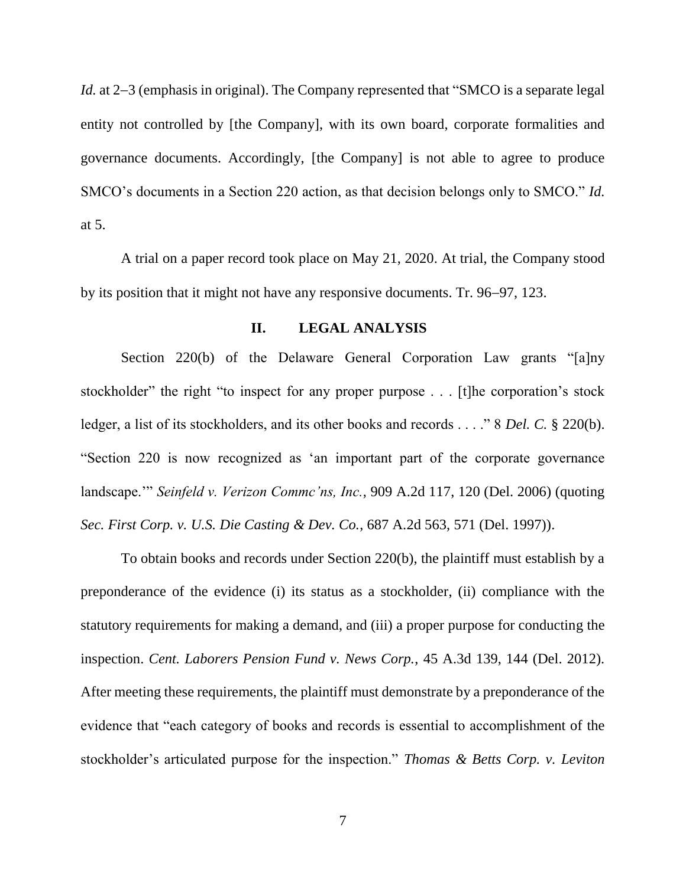*Id.* at 2–3 (emphasis in original). The Company represented that "SMCO is a separate legal entity not controlled by [the Company], with its own board, corporate formalities and governance documents. Accordingly, [the Company] is not able to agree to produce SMCO's documents in a Section 220 action, as that decision belongs only to SMCO." *Id.* at 5.

A trial on a paper record took place on May 21, 2020. At trial, the Company stood by its position that it might not have any responsive documents. Tr. 96–97, 123.

## **II. LEGAL ANALYSIS**

Section 220(b) of the Delaware General Corporation Law grants "[a]ny stockholder" the right "to inspect for any proper purpose . . . [t]he corporation's stock ledger, a list of its stockholders, and its other books and records . . . ." 8 *Del. C.* § 220(b). "Section 220 is now recognized as 'an important part of the corporate governance landscape.'" *Seinfeld v. Verizon Commc'ns, Inc.*, 909 A.2d 117, 120 (Del. 2006) (quoting *Sec. First Corp. v. U.S. Die Casting & Dev. Co.*, 687 A.2d 563, 571 (Del. 1997)).

To obtain books and records under Section 220(b), the plaintiff must establish by a preponderance of the evidence (i) its status as a stockholder, (ii) compliance with the statutory requirements for making a demand, and (iii) a proper purpose for conducting the inspection. *Cent. Laborers Pension Fund v. News Corp.*, 45 A.3d 139, 144 (Del. 2012). After meeting these requirements, the plaintiff must demonstrate by a preponderance of the evidence that "each category of books and records is essential to accomplishment of the stockholder's articulated purpose for the inspection." *Thomas & Betts Corp. v. Leviton*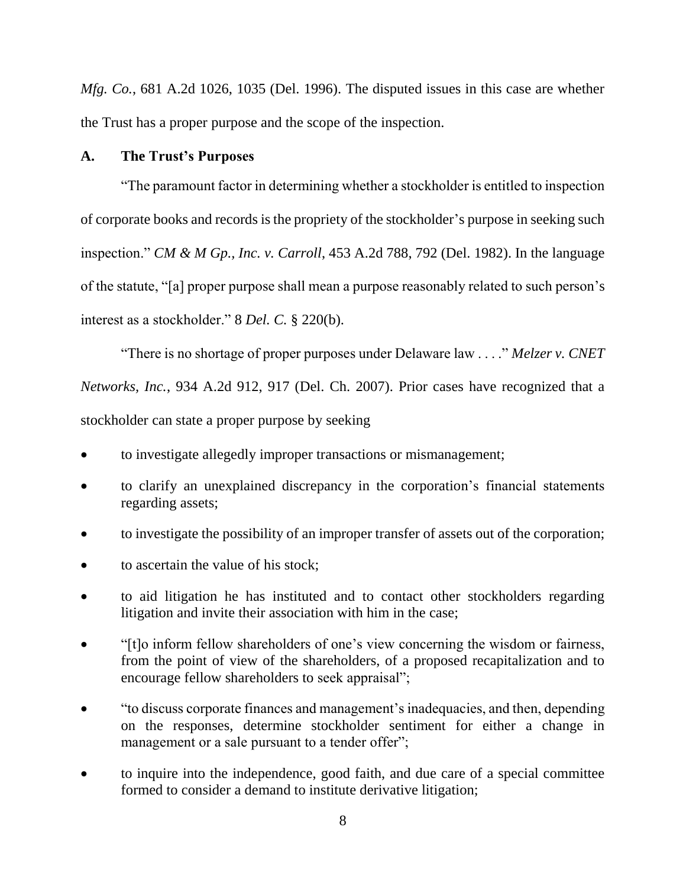*Mfg. Co.*, 681 A.2d 1026, 1035 (Del. 1996). The disputed issues in this case are whether the Trust has a proper purpose and the scope of the inspection.

## **A. The Trust's Purposes**

"The paramount factor in determining whether a stockholder is entitled to inspection of corporate books and records is the propriety of the stockholder's purpose in seeking such inspection." *CM & M Gp., Inc. v. Carroll*, 453 A.2d 788, 792 (Del. 1982). In the language of the statute, "[a] proper purpose shall mean a purpose reasonably related to such person's interest as a stockholder." 8 *Del. C.* § 220(b).

"There is no shortage of proper purposes under Delaware law . . . ." *Melzer v. CNET Networks, Inc.*, 934 A.2d 912, 917 (Del. Ch. 2007). Prior cases have recognized that a stockholder can state a proper purpose by seeking

- to investigate allegedly improper transactions or mismanagement;
- to clarify an unexplained discrepancy in the corporation's financial statements regarding assets;
- to investigate the possibility of an improper transfer of assets out of the corporation;
- to ascertain the value of his stock;
- to aid litigation he has instituted and to contact other stockholders regarding litigation and invite their association with him in the case;
- "[t]o inform fellow shareholders of one's view concerning the wisdom or fairness, from the point of view of the shareholders, of a proposed recapitalization and to encourage fellow shareholders to seek appraisal";
- "to discuss corporate finances and management's inadequacies, and then, depending on the responses, determine stockholder sentiment for either a change in management or a sale pursuant to a tender offer";
- to inquire into the independence, good faith, and due care of a special committee formed to consider a demand to institute derivative litigation;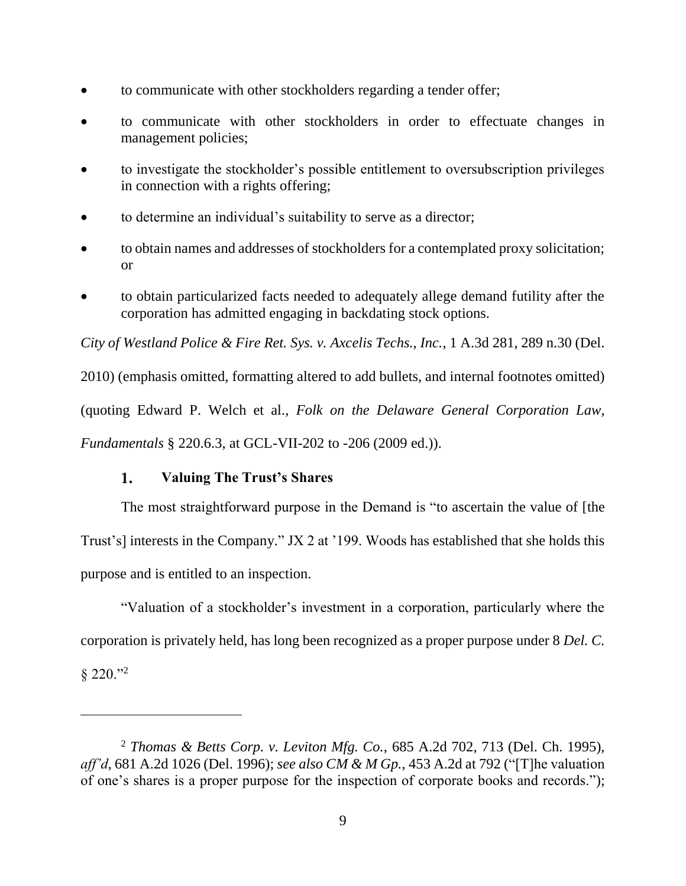- to communicate with other stockholders regarding a tender offer;
- to communicate with other stockholders in order to effectuate changes in management policies;
- to investigate the stockholder's possible entitlement to oversubscription privileges in connection with a rights offering;
- to determine an individual's suitability to serve as a director;
- to obtain names and addresses of stockholders for a contemplated proxy solicitation; or
- to obtain particularized facts needed to adequately allege demand futility after the corporation has admitted engaging in backdating stock options.

*City of Westland Police & Fire Ret. Sys. v. Axcelis Techs., Inc.*, 1 A.3d 281, 289 n.30 (Del.

2010) (emphasis omitted, formatting altered to add bullets, and internal footnotes omitted) (quoting Edward P. Welch et al., *Folk on the Delaware General Corporation Law, Fundamentals* § 220.6.3, at GCL-VII-202 to -206 (2009 ed.)).

#### 1. **Valuing The Trust's Shares**

The most straightforward purpose in the Demand is "to ascertain the value of [the Trust's] interests in the Company." JX 2 at '199. Woods has established that she holds this purpose and is entitled to an inspection.

"Valuation of a stockholder's investment in a corporation, particularly where the corporation is privately held, has long been recognized as a proper purpose under 8 *Del. C.*

 $$220."^2$ 

<sup>2</sup> *Thomas & Betts Corp. v. Leviton Mfg. Co.*, 685 A.2d 702, 713 (Del. Ch. 1995), *aff'd*, 681 A.2d 1026 (Del. 1996); *see also CM & M Gp.*, 453 A.2d at 792 ("[T]he valuation of one's shares is a proper purpose for the inspection of corporate books and records.");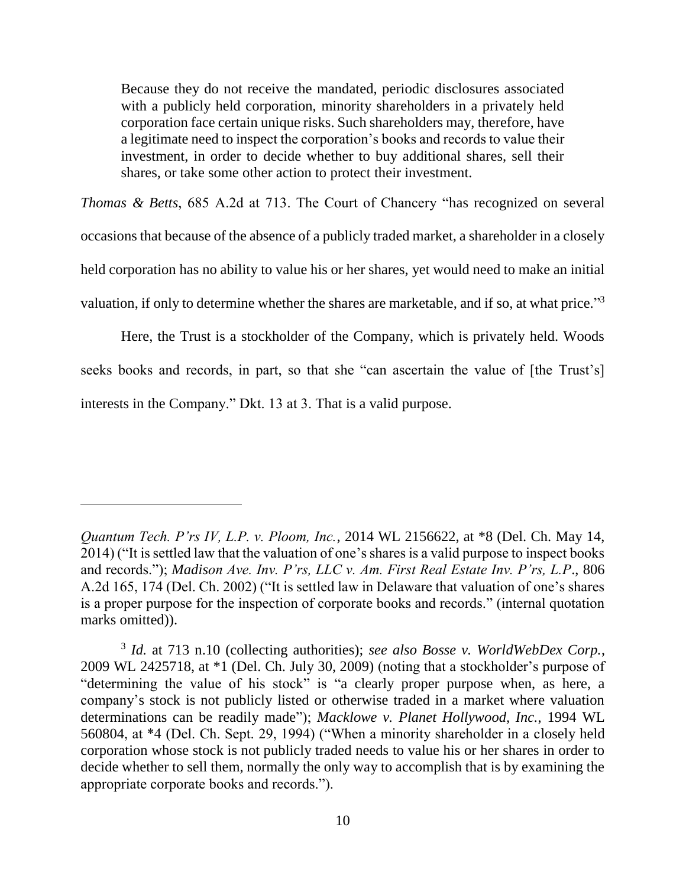Because they do not receive the mandated, periodic disclosures associated with a publicly held corporation, minority shareholders in a privately held corporation face certain unique risks. Such shareholders may, therefore, have a legitimate need to inspect the corporation's books and records to value their investment, in order to decide whether to buy additional shares, sell their shares, or take some other action to protect their investment.

*Thomas & Betts*, 685 A.2d at 713. The Court of Chancery "has recognized on several occasions that because of the absence of a publicly traded market, a shareholder in a closely held corporation has no ability to value his or her shares, yet would need to make an initial valuation, if only to determine whether the shares are marketable, and if so, at what price."<sup>3</sup>

Here, the Trust is a stockholder of the Company, which is privately held. Woods seeks books and records, in part, so that she "can ascertain the value of [the Trust's] interests in the Company." Dkt. 13 at 3. That is a valid purpose.

 $\overline{a}$ 

*Quantum Tech. P'rs IV, L.P. v. Ploom, Inc.*, 2014 WL 2156622, at \*8 (Del. Ch. May 14, 2014) ("It is settled law that the valuation of one's shares is a valid purpose to inspect books and records."); *Madison Ave. Inv. P'rs, LLC v. Am. First Real Estate Inv. P'rs, L.P*., 806 A.2d 165, 174 (Del. Ch. 2002) ("It is settled law in Delaware that valuation of one's shares is a proper purpose for the inspection of corporate books and records." (internal quotation marks omitted)).

<sup>3</sup> *Id.* at 713 n.10 (collecting authorities); *see also Bosse v. WorldWebDex Corp.*, 2009 WL 2425718, at \*1 (Del. Ch. July 30, 2009) (noting that a stockholder's purpose of "determining the value of his stock" is "a clearly proper purpose when, as here, a company's stock is not publicly listed or otherwise traded in a market where valuation determinations can be readily made"); *Macklowe v. Planet Hollywood, Inc.*, 1994 WL 560804, at \*4 (Del. Ch. Sept. 29, 1994) ("When a minority shareholder in a closely held corporation whose stock is not publicly traded needs to value his or her shares in order to decide whether to sell them, normally the only way to accomplish that is by examining the appropriate corporate books and records.").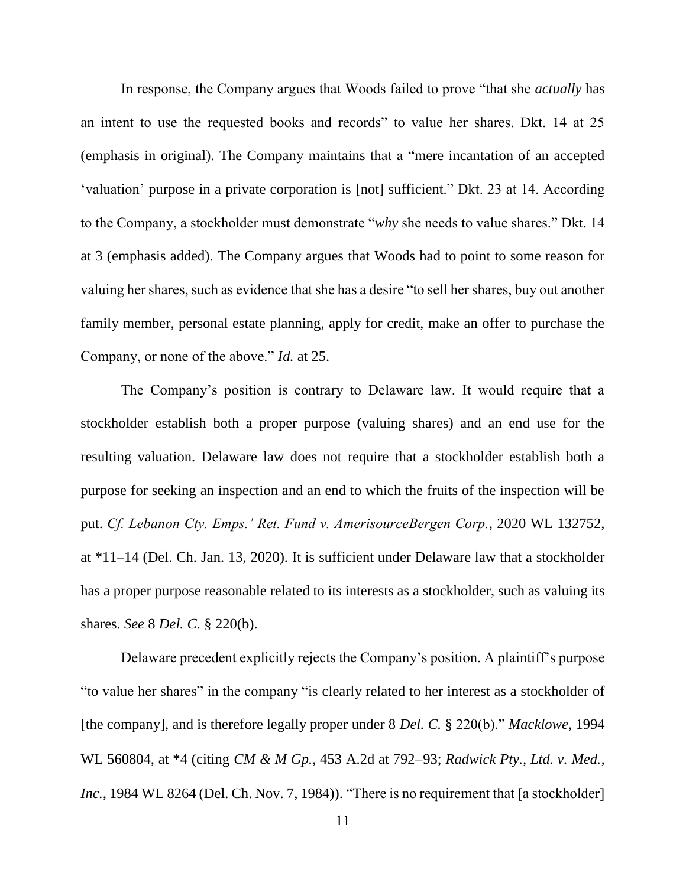In response, the Company argues that Woods failed to prove "that she *actually* has an intent to use the requested books and records" to value her shares. Dkt. 14 at 25 (emphasis in original). The Company maintains that a "mere incantation of an accepted 'valuation' purpose in a private corporation is [not] sufficient." Dkt. 23 at 14. According to the Company, a stockholder must demonstrate "*why* she needs to value shares." Dkt. 14 at 3 (emphasis added). The Company argues that Woods had to point to some reason for valuing her shares, such as evidence that she has a desire "to sell her shares, buy out another family member, personal estate planning, apply for credit, make an offer to purchase the Company, or none of the above." *Id.* at 25.

The Company's position is contrary to Delaware law. It would require that a stockholder establish both a proper purpose (valuing shares) and an end use for the resulting valuation. Delaware law does not require that a stockholder establish both a purpose for seeking an inspection and an end to which the fruits of the inspection will be put. *Cf. Lebanon Cty. Emps.' Ret. Fund v. AmerisourceBergen Corp.*, 2020 WL 132752, at \*11–14 (Del. Ch. Jan. 13, 2020). It is sufficient under Delaware law that a stockholder has a proper purpose reasonable related to its interests as a stockholder, such as valuing its shares. *See* 8 *Del. C.* § 220(b).

Delaware precedent explicitly rejects the Company's position. A plaintiff's purpose "to value her shares" in the company "is clearly related to her interest as a stockholder of [the company], and is therefore legally proper under 8 *Del. C.* § 220(b)." *Macklowe*, 1994 WL 560804, at \*4 (citing *CM & M Gp.*, 453 A.2d at 792–93; *Radwick Pty., Ltd. v. Med.*, *Inc.*, 1984 WL 8264 (Del. Ch. Nov. 7, 1984)). "There is no requirement that [a stockholder]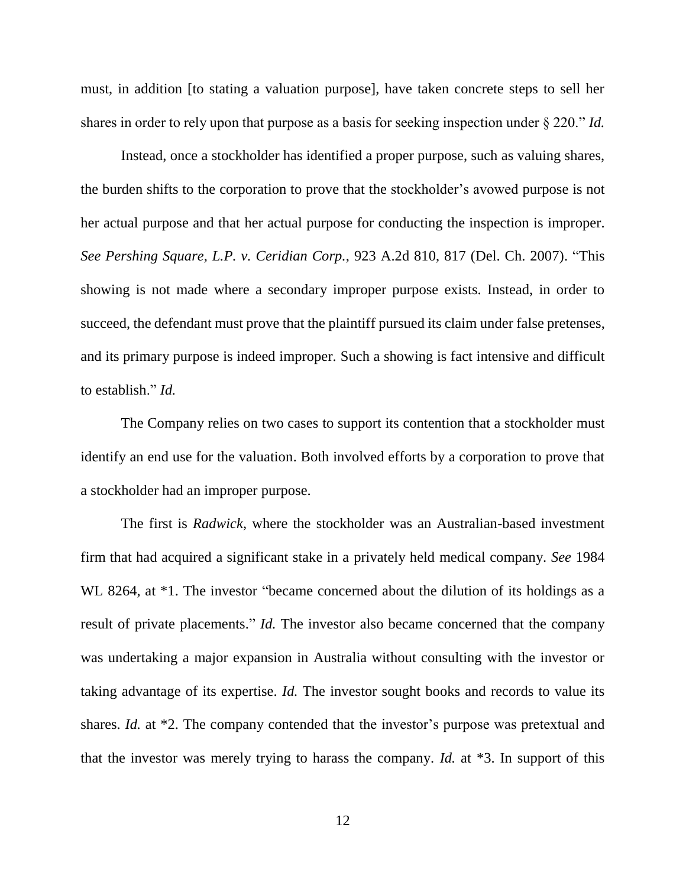must, in addition [to stating a valuation purpose], have taken concrete steps to sell her shares in order to rely upon that purpose as a basis for seeking inspection under § 220." *Id.*

Instead, once a stockholder has identified a proper purpose, such as valuing shares, the burden shifts to the corporation to prove that the stockholder's avowed purpose is not her actual purpose and that her actual purpose for conducting the inspection is improper. *See Pershing Square, L.P. v. Ceridian Corp.*, 923 A.2d 810, 817 (Del. Ch. 2007). "This showing is not made where a secondary improper purpose exists. Instead, in order to succeed, the defendant must prove that the plaintiff pursued its claim under false pretenses, and its primary purpose is indeed improper. Such a showing is fact intensive and difficult to establish." *Id.*

The Company relies on two cases to support its contention that a stockholder must identify an end use for the valuation. Both involved efforts by a corporation to prove that a stockholder had an improper purpose.

The first is *Radwick*, where the stockholder was an Australian-based investment firm that had acquired a significant stake in a privately held medical company. *See* 1984 WL 8264, at  $*1$ . The investor "became concerned about the dilution of its holdings as a result of private placements." *Id.* The investor also became concerned that the company was undertaking a major expansion in Australia without consulting with the investor or taking advantage of its expertise. *Id.* The investor sought books and records to value its shares. *Id.* at \*2. The company contended that the investor's purpose was pretextual and that the investor was merely trying to harass the company. *Id.* at \*3. In support of this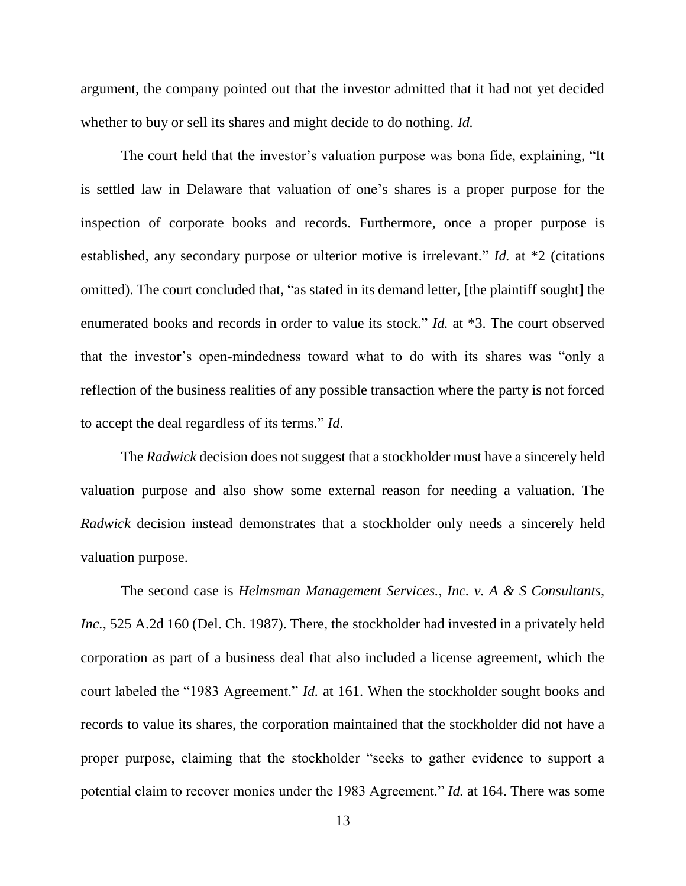argument, the company pointed out that the investor admitted that it had not yet decided whether to buy or sell its shares and might decide to do nothing. *Id.*

The court held that the investor's valuation purpose was bona fide, explaining, "It is settled law in Delaware that valuation of one's shares is a proper purpose for the inspection of corporate books and records. Furthermore, once a proper purpose is established, any secondary purpose or ulterior motive is irrelevant." *Id.* at \*2 (citations omitted). The court concluded that, "as stated in its demand letter, [the plaintiff sought] the enumerated books and records in order to value its stock." *Id.* at \*3. The court observed that the investor's open-mindedness toward what to do with its shares was "only a reflection of the business realities of any possible transaction where the party is not forced to accept the deal regardless of its terms." *Id*.

The *Radwick* decision does not suggest that a stockholder must have a sincerely held valuation purpose and also show some external reason for needing a valuation. The *Radwick* decision instead demonstrates that a stockholder only needs a sincerely held valuation purpose.

The second case is *Helmsman Management Services., Inc. v. A & S Consultants, Inc.*, 525 A.2d 160 (Del. Ch. 1987). There, the stockholder had invested in a privately held corporation as part of a business deal that also included a license agreement, which the court labeled the "1983 Agreement." *Id.* at 161. When the stockholder sought books and records to value its shares, the corporation maintained that the stockholder did not have a proper purpose, claiming that the stockholder "seeks to gather evidence to support a potential claim to recover monies under the 1983 Agreement." *Id.* at 164. There was some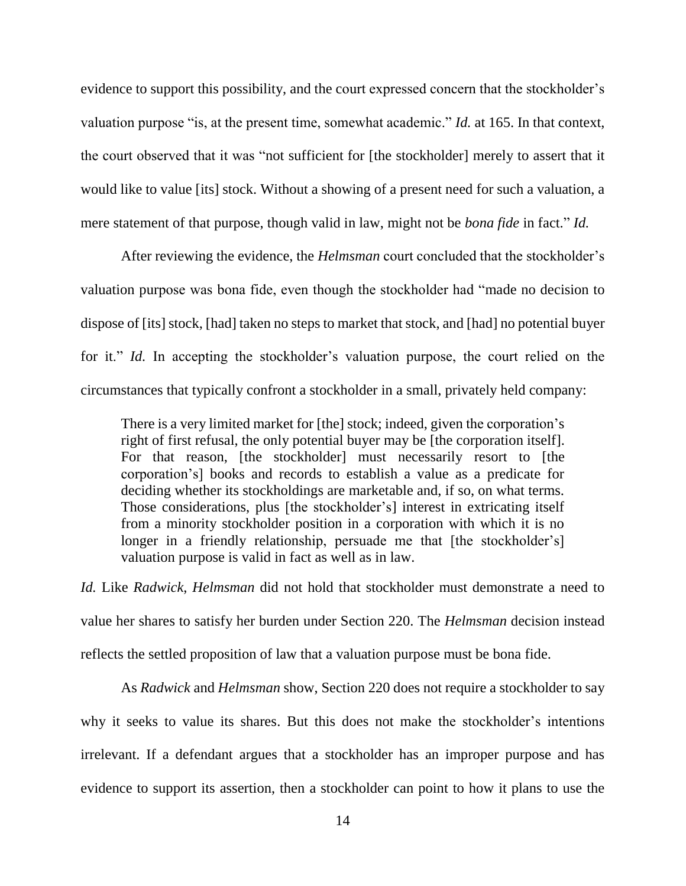evidence to support this possibility, and the court expressed concern that the stockholder's valuation purpose "is, at the present time, somewhat academic." *Id.* at 165. In that context, the court observed that it was "not sufficient for [the stockholder] merely to assert that it would like to value [its] stock. Without a showing of a present need for such a valuation, a mere statement of that purpose, though valid in law, might not be *bona fide* in fact." *Id.*

After reviewing the evidence, the *Helmsman* court concluded that the stockholder's valuation purpose was bona fide, even though the stockholder had "made no decision to dispose of [its] stock, [had] taken no steps to market that stock, and [had] no potential buyer for it." *Id.* In accepting the stockholder's valuation purpose, the court relied on the circumstances that typically confront a stockholder in a small, privately held company:

There is a very limited market for [the] stock; indeed, given the corporation's right of first refusal, the only potential buyer may be [the corporation itself]. For that reason, [the stockholder] must necessarily resort to [the corporation's] books and records to establish a value as a predicate for deciding whether its stockholdings are marketable and, if so, on what terms. Those considerations, plus [the stockholder's] interest in extricating itself from a minority stockholder position in a corporation with which it is no longer in a friendly relationship, persuade me that [the stockholder's] valuation purpose is valid in fact as well as in law.

*Id.* Like *Radwick*, *Helmsman* did not hold that stockholder must demonstrate a need to value her shares to satisfy her burden under Section 220. The *Helmsman* decision instead reflects the settled proposition of law that a valuation purpose must be bona fide.

As *Radwick* and *Helmsman* show, Section 220 does not require a stockholder to say why it seeks to value its shares. But this does not make the stockholder's intentions irrelevant. If a defendant argues that a stockholder has an improper purpose and has evidence to support its assertion, then a stockholder can point to how it plans to use the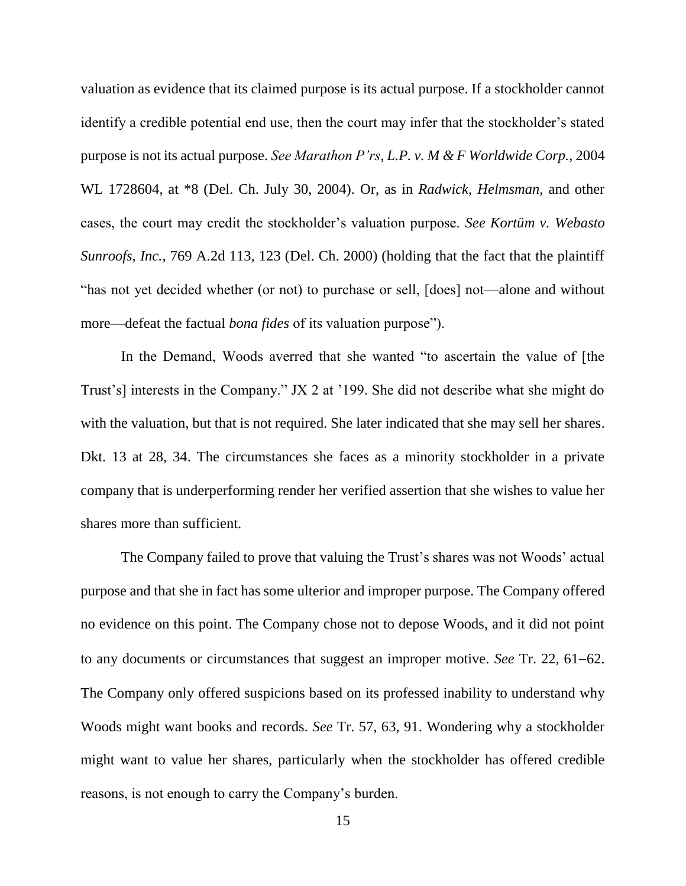valuation as evidence that its claimed purpose is its actual purpose. If a stockholder cannot identify a credible potential end use, then the court may infer that the stockholder's stated purpose is not its actual purpose. *See Marathon P'rs, L.P. v. M & F Worldwide Corp.*, 2004 WL 1728604, at \*8 (Del. Ch. July 30, 2004). Or, as in *Radwick*, *Helmsman*, and other cases, the court may credit the stockholder's valuation purpose. *See Kortüm v. Webasto Sunroofs, Inc.*, 769 A.2d 113, 123 (Del. Ch. 2000) (holding that the fact that the plaintiff "has not yet decided whether (or not) to purchase or sell, [does] not—alone and without more—defeat the factual *bona fides* of its valuation purpose").

In the Demand, Woods averred that she wanted "to ascertain the value of [the Trust's] interests in the Company." JX 2 at '199. She did not describe what she might do with the valuation, but that is not required. She later indicated that she may sell her shares. Dkt. 13 at 28, 34. The circumstances she faces as a minority stockholder in a private company that is underperforming render her verified assertion that she wishes to value her shares more than sufficient.

The Company failed to prove that valuing the Trust's shares was not Woods' actual purpose and that she in fact has some ulterior and improper purpose. The Company offered no evidence on this point. The Company chose not to depose Woods, and it did not point to any documents or circumstances that suggest an improper motive. *See* Tr. 22, 61–62. The Company only offered suspicions based on its professed inability to understand why Woods might want books and records. *See* Tr. 57, 63, 91. Wondering why a stockholder might want to value her shares, particularly when the stockholder has offered credible reasons, is not enough to carry the Company's burden.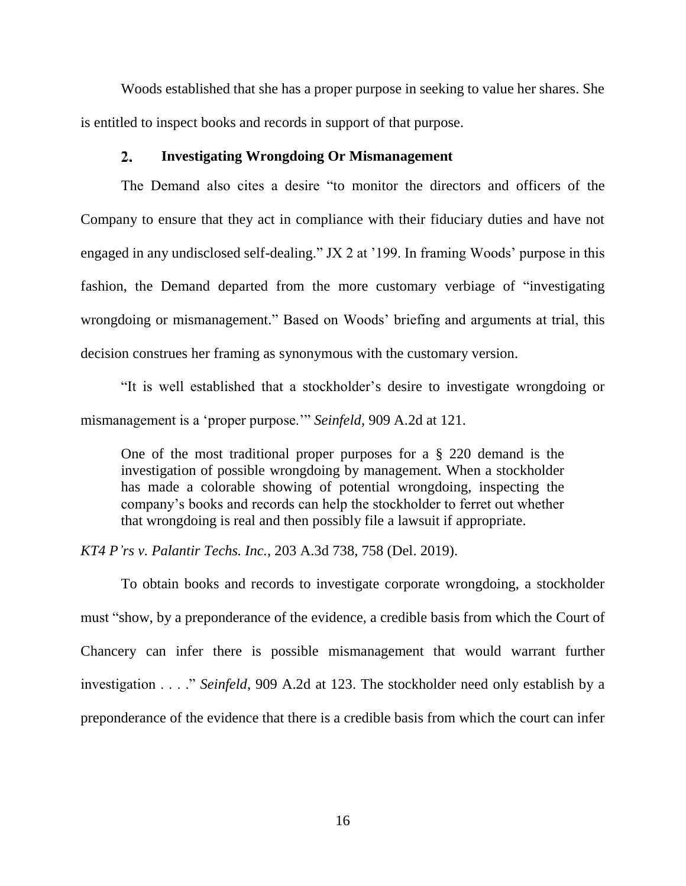Woods established that she has a proper purpose in seeking to value her shares. She is entitled to inspect books and records in support of that purpose.

#### $2.$ **Investigating Wrongdoing Or Mismanagement**

The Demand also cites a desire "to monitor the directors and officers of the Company to ensure that they act in compliance with their fiduciary duties and have not engaged in any undisclosed self-dealing." JX 2 at '199. In framing Woods' purpose in this fashion, the Demand departed from the more customary verbiage of "investigating wrongdoing or mismanagement." Based on Woods' briefing and arguments at trial, this decision construes her framing as synonymous with the customary version.

"It is well established that a stockholder's desire to investigate wrongdoing or mismanagement is a 'proper purpose.'" *Seinfeld*, 909 A.2d at 121.

One of the most traditional proper purposes for a § 220 demand is the investigation of possible wrongdoing by management. When a stockholder has made a colorable showing of potential wrongdoing, inspecting the company's books and records can help the stockholder to ferret out whether that wrongdoing is real and then possibly file a lawsuit if appropriate.

*KT4 P'rs v. Palantir Techs. Inc.*, 203 A.3d 738, 758 (Del. 2019).

To obtain books and records to investigate corporate wrongdoing, a stockholder must "show, by a preponderance of the evidence, a credible basis from which the Court of Chancery can infer there is possible mismanagement that would warrant further investigation . . . ." *Seinfeld*, 909 A.2d at 123. The stockholder need only establish by a preponderance of the evidence that there is a credible basis from which the court can infer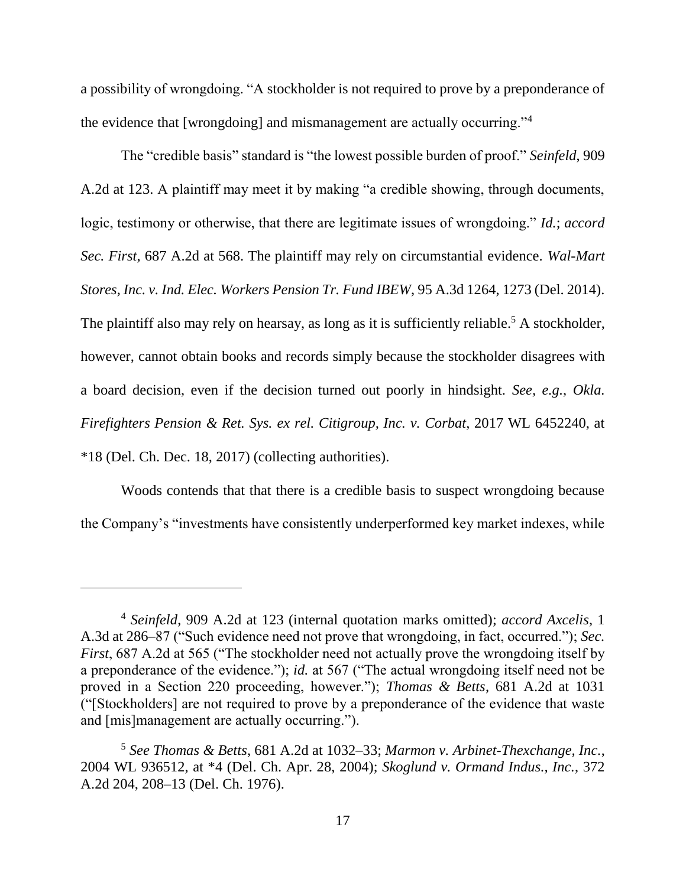a possibility of wrongdoing. "A stockholder is not required to prove by a preponderance of the evidence that [wrongdoing] and mismanagement are actually occurring."<sup>4</sup>

The "credible basis" standard is "the lowest possible burden of proof." *Seinfeld*, 909 A.2d at 123. A plaintiff may meet it by making "a credible showing, through documents, logic, testimony or otherwise, that there are legitimate issues of wrongdoing." *Id.*; *accord Sec. First*, 687 A.2d at 568. The plaintiff may rely on circumstantial evidence. *Wal-Mart Stores, Inc. v. Ind. Elec. Workers Pension Tr. Fund IBEW*, 95 A.3d 1264, 1273 (Del. 2014). The plaintiff also may rely on hearsay, as long as it is sufficiently reliable.<sup>5</sup> A stockholder, however, cannot obtain books and records simply because the stockholder disagrees with a board decision, even if the decision turned out poorly in hindsight. *See, e.g.*, *Okla. Firefighters Pension & Ret. Sys. ex rel. Citigroup, Inc. v. Corbat*, 2017 WL 6452240, at \*18 (Del. Ch. Dec. 18, 2017) (collecting authorities).

Woods contends that that there is a credible basis to suspect wrongdoing because the Company's "investments have consistently underperformed key market indexes, while

<sup>4</sup> *Seinfeld*, 909 A.2d at 123 (internal quotation marks omitted); *accord Axcelis*, 1 A.3d at 286–87 ("Such evidence need not prove that wrongdoing, in fact, occurred."); *Sec. First*, 687 A.2d at 565 ("The stockholder need not actually prove the wrongdoing itself by a preponderance of the evidence."); *id.* at 567 ("The actual wrongdoing itself need not be proved in a Section 220 proceeding, however."); *Thomas & Betts*, 681 A.2d at 1031 ("[Stockholders] are not required to prove by a preponderance of the evidence that waste and [mis]management are actually occurring.").

<sup>5</sup> *See Thomas & Betts*, 681 A.2d at 1032–33; *Marmon v. Arbinet-Thexchange, Inc.*, 2004 WL 936512, at \*4 (Del. Ch. Apr. 28, 2004); *Skoglund v. Ormand Indus., Inc.*, 372 A.2d 204, 208–13 (Del. Ch. 1976).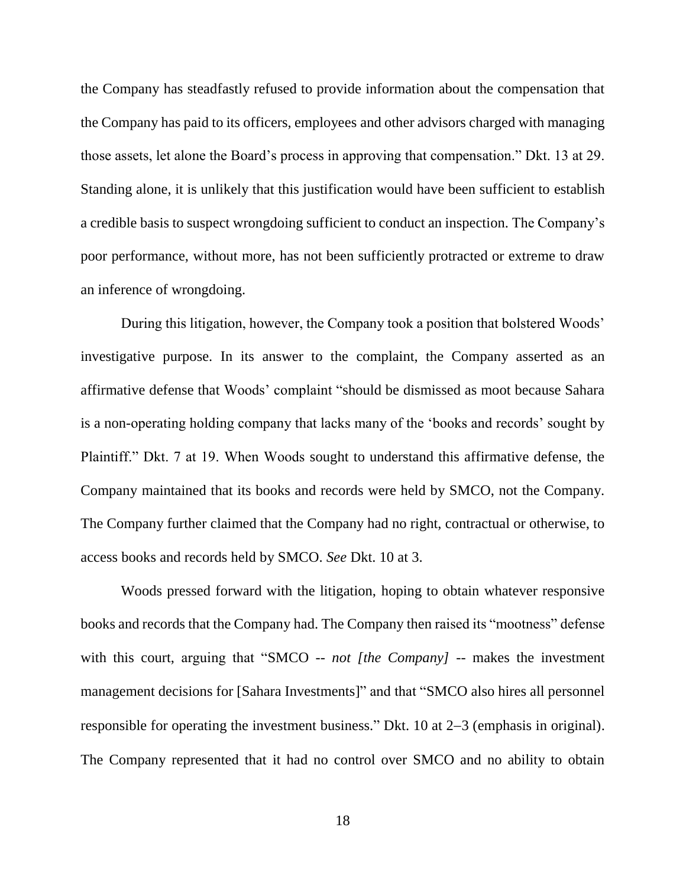the Company has steadfastly refused to provide information about the compensation that the Company has paid to its officers, employees and other advisors charged with managing those assets, let alone the Board's process in approving that compensation." Dkt. 13 at 29. Standing alone, it is unlikely that this justification would have been sufficient to establish a credible basis to suspect wrongdoing sufficient to conduct an inspection. The Company's poor performance, without more, has not been sufficiently protracted or extreme to draw an inference of wrongdoing.

During this litigation, however, the Company took a position that bolstered Woods' investigative purpose. In its answer to the complaint, the Company asserted as an affirmative defense that Woods' complaint "should be dismissed as moot because Sahara is a non-operating holding company that lacks many of the 'books and records' sought by Plaintiff." Dkt. 7 at 19. When Woods sought to understand this affirmative defense, the Company maintained that its books and records were held by SMCO, not the Company. The Company further claimed that the Company had no right, contractual or otherwise, to access books and records held by SMCO. *See* Dkt. 10 at 3.

Woods pressed forward with the litigation, hoping to obtain whatever responsive books and records that the Company had. The Company then raised its "mootness" defense with this court, arguing that "SMCO -- *not [the Company]* -- makes the investment management decisions for [Sahara Investments]" and that "SMCO also hires all personnel responsible for operating the investment business." Dkt. 10 at  $2-3$  (emphasis in original). The Company represented that it had no control over SMCO and no ability to obtain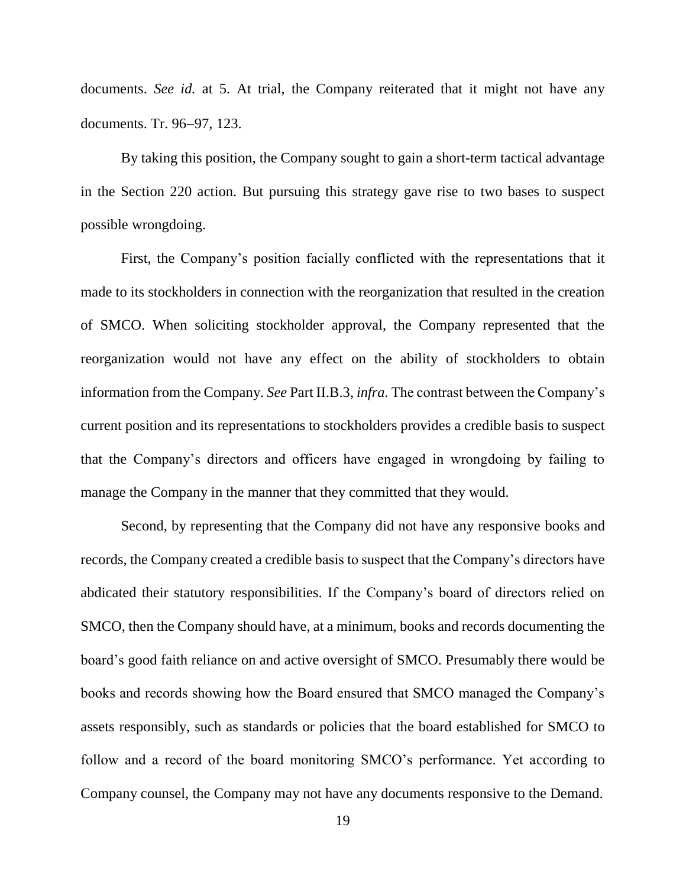documents. *See id.* at 5. At trial, the Company reiterated that it might not have any documents. Tr. 96-97, 123.

By taking this position, the Company sought to gain a short-term tactical advantage in the Section 220 action. But pursuing this strategy gave rise to two bases to suspect possible wrongdoing.

First, the Company's position facially conflicted with the representations that it made to its stockholders in connection with the reorganization that resulted in the creation of SMCO. When soliciting stockholder approval, the Company represented that the reorganization would not have any effect on the ability of stockholders to obtain information from the Company. *See* Part [II.B.3,](#page-34-0) *infra.* The contrast between the Company's current position and its representations to stockholders provides a credible basis to suspect that the Company's directors and officers have engaged in wrongdoing by failing to manage the Company in the manner that they committed that they would.

Second, by representing that the Company did not have any responsive books and records, the Company created a credible basis to suspect that the Company's directors have abdicated their statutory responsibilities. If the Company's board of directors relied on SMCO, then the Company should have, at a minimum, books and records documenting the board's good faith reliance on and active oversight of SMCO. Presumably there would be books and records showing how the Board ensured that SMCO managed the Company's assets responsibly, such as standards or policies that the board established for SMCO to follow and a record of the board monitoring SMCO's performance. Yet according to Company counsel, the Company may not have any documents responsive to the Demand.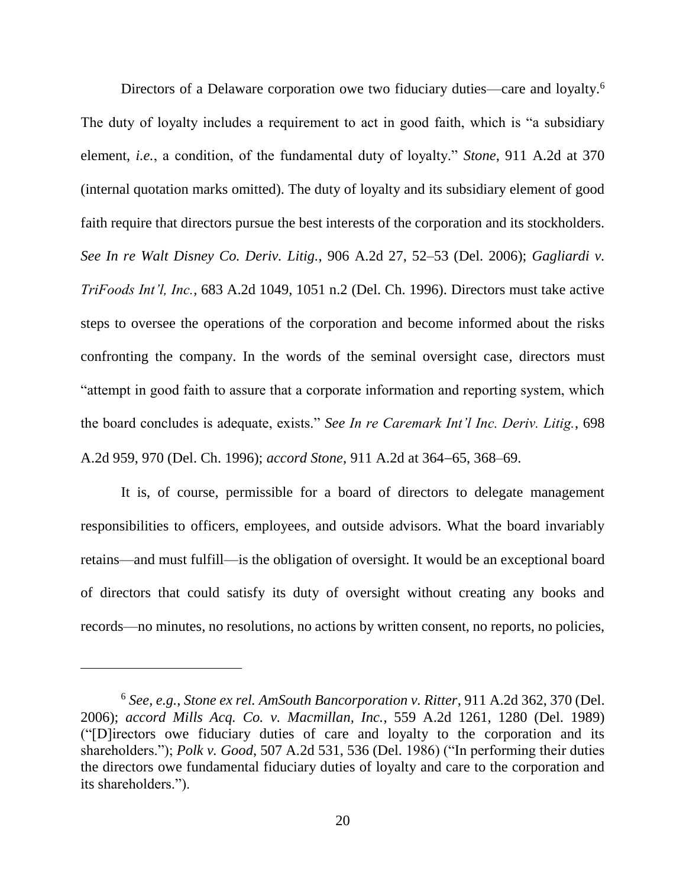Directors of a Delaware corporation owe two fiduciary duties—care and loyalty.<sup>6</sup> The duty of loyalty includes a requirement to act in good faith, which is "a subsidiary element, *i.e.*, a condition, of the fundamental duty of loyalty." *Stone*, 911 A.2d at 370 (internal quotation marks omitted). The duty of loyalty and its subsidiary element of good faith require that directors pursue the best interests of the corporation and its stockholders. *See In re Walt Disney Co. Deriv. Litig.*, 906 A.2d 27, 52–53 (Del. 2006); *Gagliardi v. TriFoods Int'l, Inc.*, 683 A.2d 1049, 1051 n.2 (Del. Ch. 1996). Directors must take active steps to oversee the operations of the corporation and become informed about the risks confronting the company. In the words of the seminal oversight case, directors must "attempt in good faith to assure that a corporate information and reporting system, which the board concludes is adequate, exists." *See In re Caremark Int'l Inc. Deriv. Litig.*, 698 A.2d 959, 970 (Del. Ch. 1996); *accord Stone*, 911 A.2d at 364–65, 368–69.

It is, of course, permissible for a board of directors to delegate management responsibilities to officers, employees, and outside advisors. What the board invariably retains—and must fulfill—is the obligation of oversight. It would be an exceptional board of directors that could satisfy its duty of oversight without creating any books and records—no minutes, no resolutions, no actions by written consent, no reports, no policies,

 $\overline{a}$ 

<sup>6</sup> *See, e.g.*, *Stone ex rel. AmSouth Bancorporation v. Ritter*, 911 A.2d 362, 370 (Del. 2006); *accord Mills Acq. Co. v. Macmillan, Inc.*, 559 A.2d 1261, 1280 (Del. 1989) ("[D]irectors owe fiduciary duties of care and loyalty to the corporation and its shareholders."); *Polk v. Good*, 507 A.2d 531, 536 (Del. 1986) ("In performing their duties the directors owe fundamental fiduciary duties of loyalty and care to the corporation and its shareholders.").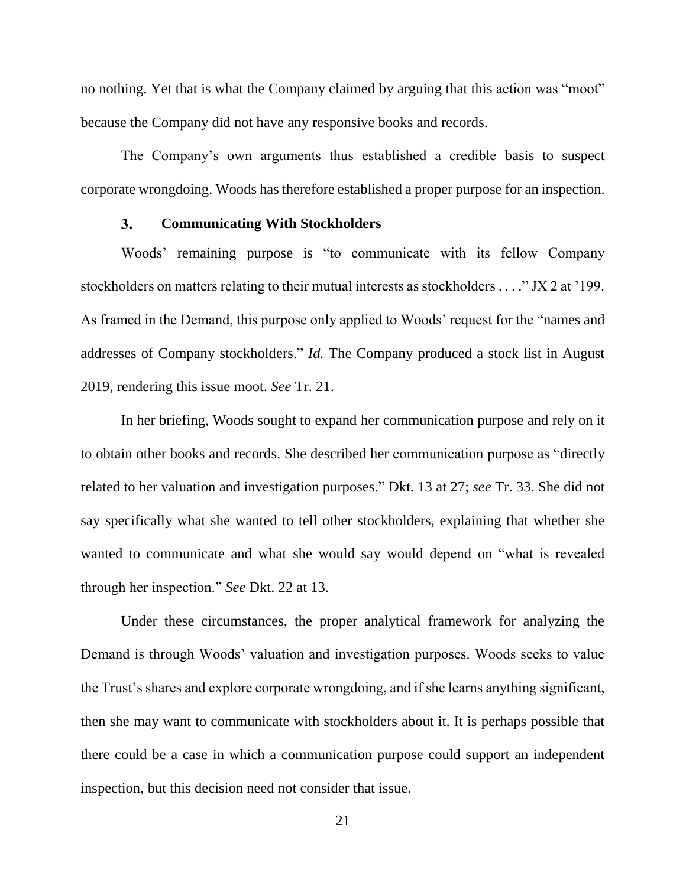no nothing. Yet that is what the Company claimed by arguing that this action was "moot" because the Company did not have any responsive books and records.

The Company's own arguments thus established a credible basis to suspect corporate wrongdoing. Woods has therefore established a proper purpose for an inspection.

#### 3. **Communicating With Stockholders**

Woods' remaining purpose is "to communicate with its fellow Company stockholders on matters relating to their mutual interests as stockholders . . . ." JX 2 at '199. As framed in the Demand, this purpose only applied to Woods' request for the "names and addresses of Company stockholders." *Id.* The Company produced a stock list in August 2019, rendering this issue moot. *See* Tr. 21.

In her briefing, Woods sought to expand her communication purpose and rely on it to obtain other books and records. She described her communication purpose as "directly related to her valuation and investigation purposes." Dkt. 13 at 27; *see* Tr. 33. She did not say specifically what she wanted to tell other stockholders, explaining that whether she wanted to communicate and what she would say would depend on "what is revealed through her inspection." *See* Dkt. 22 at 13.

Under these circumstances, the proper analytical framework for analyzing the Demand is through Woods' valuation and investigation purposes. Woods seeks to value the Trust's shares and explore corporate wrongdoing, and if she learns anything significant, then she may want to communicate with stockholders about it. It is perhaps possible that there could be a case in which a communication purpose could support an independent inspection, but this decision need not consider that issue.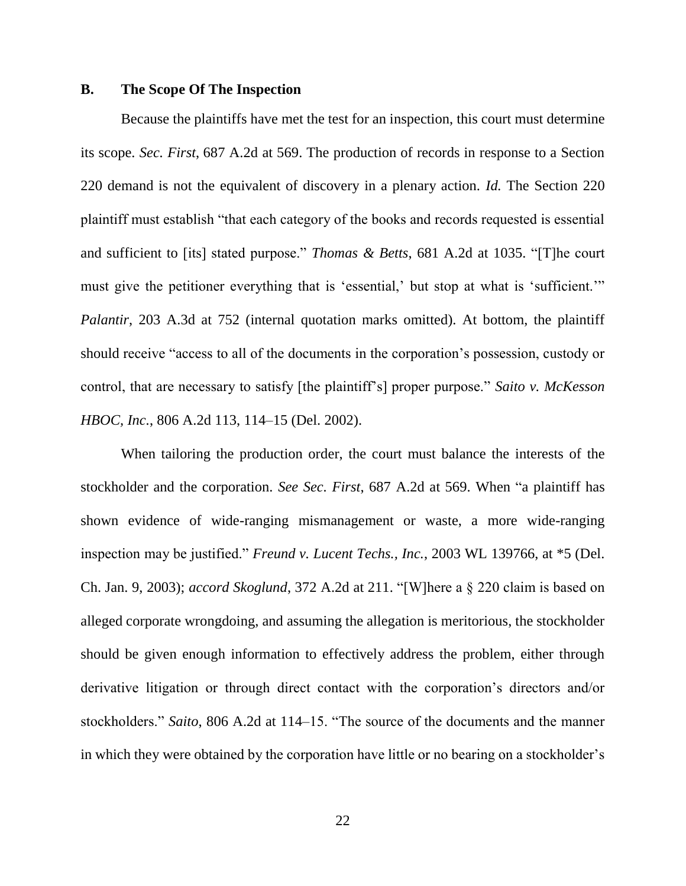### <span id="page-22-0"></span>**B. The Scope Of The Inspection**

Because the plaintiffs have met the test for an inspection, this court must determine its scope. *Sec. First*, 687 A.2d at 569. The production of records in response to a Section 220 demand is not the equivalent of discovery in a plenary action. *Id.* The Section 220 plaintiff must establish "that each category of the books and records requested is essential and sufficient to [its] stated purpose." *Thomas & Betts*, 681 A.2d at 1035. "[T]he court must give the petitioner everything that is 'essential,' but stop at what is 'sufficient.'" *Palantir*, 203 A.3d at 752 (internal quotation marks omitted). At bottom, the plaintiff should receive "access to all of the documents in the corporation's possession, custody or control, that are necessary to satisfy [the plaintiff's] proper purpose." *Saito v. McKesson HBOC, Inc.*, 806 A.2d 113, 114–15 (Del. 2002).

When tailoring the production order, the court must balance the interests of the stockholder and the corporation. *See Sec. First*, 687 A.2d at 569. When "a plaintiff has shown evidence of wide-ranging mismanagement or waste, a more wide-ranging inspection may be justified." *Freund v. Lucent Techs., Inc.*, 2003 WL 139766, at \*5 (Del. Ch. Jan. 9, 2003); *accord Skoglund*, 372 A.2d at 211. "[W]here a § 220 claim is based on alleged corporate wrongdoing, and assuming the allegation is meritorious, the stockholder should be given enough information to effectively address the problem, either through derivative litigation or through direct contact with the corporation's directors and/or stockholders." *Saito*, 806 A.2d at 114–15. "The source of the documents and the manner in which they were obtained by the corporation have little or no bearing on a stockholder's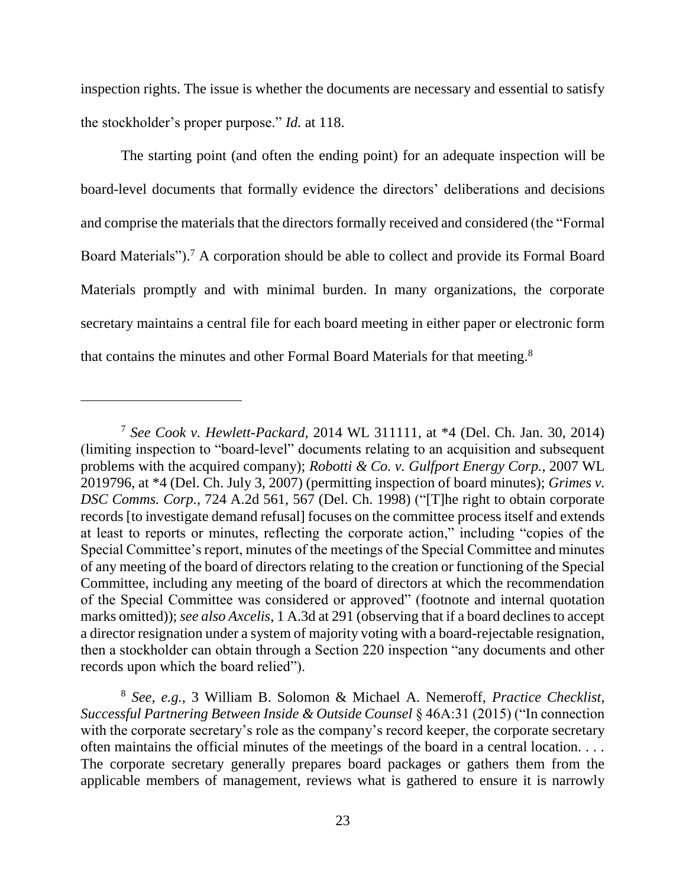inspection rights. The issue is whether the documents are necessary and essential to satisfy the stockholder's proper purpose." *Id.* at 118.

The starting point (and often the ending point) for an adequate inspection will be board-level documents that formally evidence the directors' deliberations and decisions and comprise the materials that the directors formally received and considered (the "Formal Board Materials"). <sup>7</sup> A corporation should be able to collect and provide its Formal Board Materials promptly and with minimal burden. In many organizations, the corporate secretary maintains a central file for each board meeting in either paper or electronic form that contains the minutes and other Formal Board Materials for that meeting.<sup>8</sup>

 $\overline{a}$ 

<sup>7</sup> *See Cook v. Hewlett-Packard*, 2014 WL 311111, at \*4 (Del. Ch. Jan. 30, 2014) (limiting inspection to "board-level" documents relating to an acquisition and subsequent problems with the acquired company); *Robotti & Co. v. Gulfport Energy Corp.*, 2007 WL 2019796, at \*4 (Del. Ch. July 3, 2007) (permitting inspection of board minutes); *Grimes v. DSC Comms. Corp.*, 724 A.2d 561, 567 (Del. Ch. 1998) ("[T]he right to obtain corporate records [to investigate demand refusal] focuses on the committee process itself and extends at least to reports or minutes, reflecting the corporate action," including "copies of the Special Committee's report, minutes of the meetings of the Special Committee and minutes of any meeting of the board of directors relating to the creation or functioning of the Special Committee, including any meeting of the board of directors at which the recommendation of the Special Committee was considered or approved" (footnote and internal quotation marks omitted)); *see also Axcelis*, 1 A.3d at 291 (observing that if a board declines to accept a director resignation under a system of majority voting with a board-rejectable resignation, then a stockholder can obtain through a Section 220 inspection "any documents and other records upon which the board relied").

<sup>8</sup> *See, e.g.*, 3 William B. Solomon & Michael A. Nemeroff, *Practice Checklist, Successful Partnering Between Inside & Outside Counsel* § 46A:31 (2015) ("In connection with the corporate secretary's role as the company's record keeper, the corporate secretary often maintains the official minutes of the meetings of the board in a central location. . . . The corporate secretary generally prepares board packages or gathers them from the applicable members of management, reviews what is gathered to ensure it is narrowly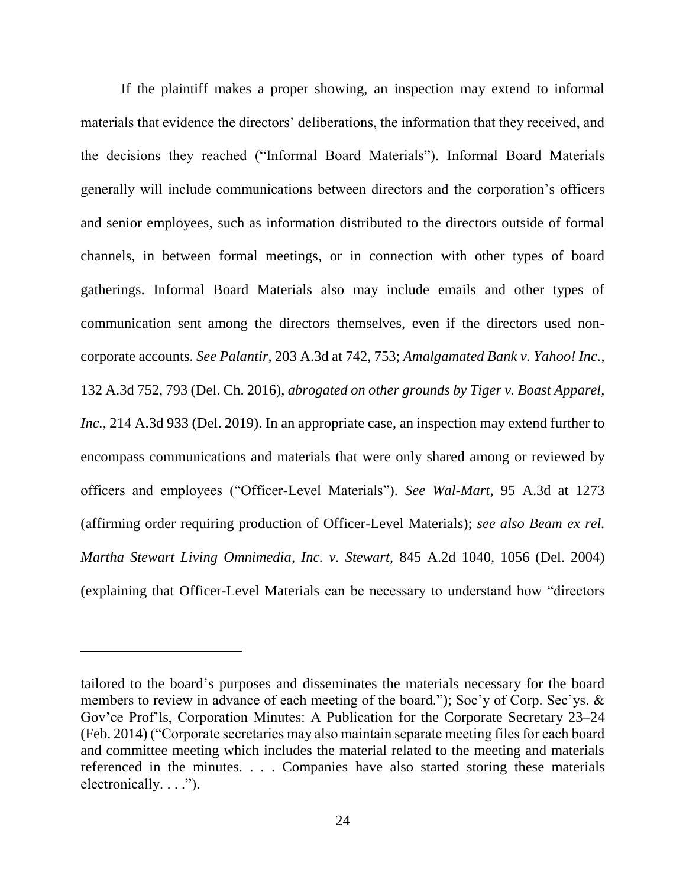If the plaintiff makes a proper showing, an inspection may extend to informal materials that evidence the directors' deliberations, the information that they received, and the decisions they reached ("Informal Board Materials"). Informal Board Materials generally will include communications between directors and the corporation's officers and senior employees, such as information distributed to the directors outside of formal channels, in between formal meetings, or in connection with other types of board gatherings. Informal Board Materials also may include emails and other types of communication sent among the directors themselves, even if the directors used noncorporate accounts. *See Palantir*, 203 A.3d at 742, 753; *Amalgamated Bank v. Yahoo! Inc.*, 132 A.3d 752, 793 (Del. Ch. 2016), *abrogated on other grounds by Tiger v. Boast Apparel, Inc.*, 214 A.3d 933 (Del. 2019). In an appropriate case, an inspection may extend further to encompass communications and materials that were only shared among or reviewed by officers and employees ("Officer-Level Materials"). *See Wal-Mart*, 95 A.3d at 1273 (affirming order requiring production of Officer-Level Materials); *see also Beam ex rel. Martha Stewart Living Omnimedia, Inc. v. Stewart*, 845 A.2d 1040, 1056 (Del. 2004) (explaining that Officer-Level Materials can be necessary to understand how "directors

 $\overline{a}$ 

tailored to the board's purposes and disseminates the materials necessary for the board members to review in advance of each meeting of the board."); Soc'y of Corp. Sec'ys. & Gov'ce Prof'ls, Corporation Minutes: A Publication for the Corporate Secretary 23–24 (Feb. 2014) ("Corporate secretaries may also maintain separate meeting files for each board and committee meeting which includes the material related to the meeting and materials referenced in the minutes. . . . Companies have also started storing these materials electronically.  $\ldots$ ").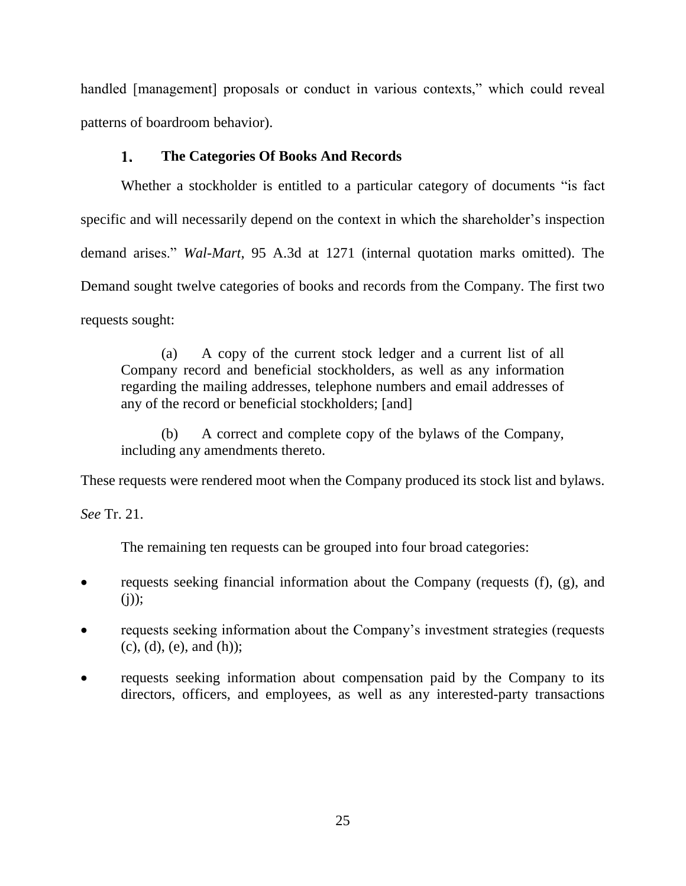handled [management] proposals or conduct in various contexts," which could reveal patterns of boardroom behavior).

#### $\mathbf{1}$ . **The Categories Of Books And Records**

Whether a stockholder is entitled to a particular category of documents "is fact specific and will necessarily depend on the context in which the shareholder's inspection demand arises." *Wal-Mart*, 95 A.3d at 1271 (internal quotation marks omitted). The Demand sought twelve categories of books and records from the Company. The first two requests sought:

(a) A copy of the current stock ledger and a current list of all Company record and beneficial stockholders, as well as any information regarding the mailing addresses, telephone numbers and email addresses of any of the record or beneficial stockholders; [and]

(b) A correct and complete copy of the bylaws of the Company, including any amendments thereto.

These requests were rendered moot when the Company produced its stock list and bylaws.

*See* Tr. 21.

The remaining ten requests can be grouped into four broad categories:

- requests seeking financial information about the Company (requests (f), (g), and  $(i)$ ;
- requests seeking information about the Company's investment strategies (requests  $(c)$ ,  $(d)$ ,  $(e)$ , and  $(h)$ );
- requests seeking information about compensation paid by the Company to its directors, officers, and employees, as well as any interested-party transactions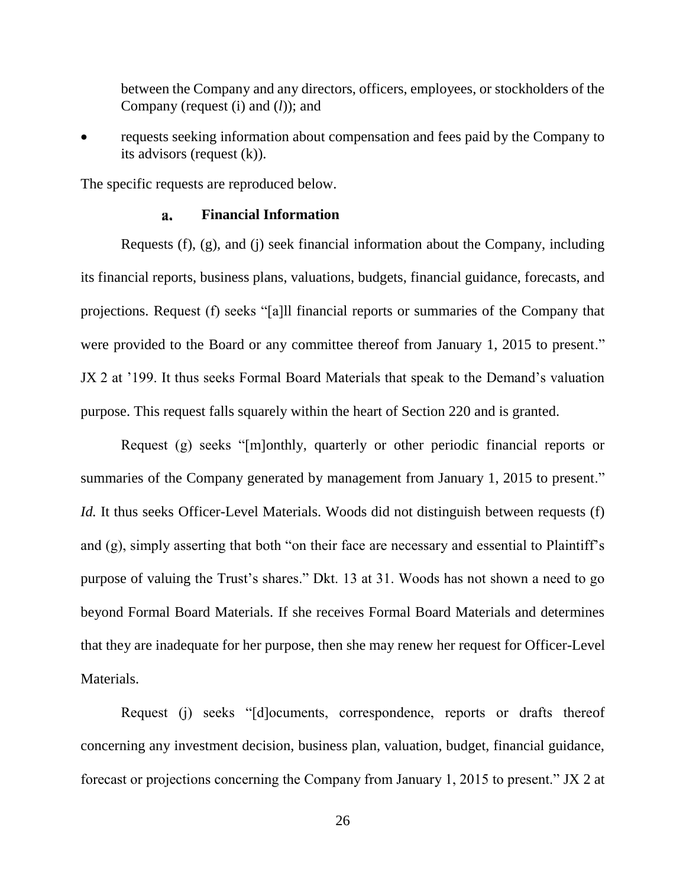between the Company and any directors, officers, employees, or stockholders of the Company (request (i) and (*l*)); and

 requests seeking information about compensation and fees paid by the Company to its advisors (request (k)).

The specific requests are reproduced below.

#### **Financial Information** a.

Requests (f), (g), and (j) seek financial information about the Company, including its financial reports, business plans, valuations, budgets, financial guidance, forecasts, and projections. Request (f) seeks "[a]ll financial reports or summaries of the Company that were provided to the Board or any committee thereof from January 1, 2015 to present." JX 2 at '199. It thus seeks Formal Board Materials that speak to the Demand's valuation purpose. This request falls squarely within the heart of Section 220 and is granted.

Request (g) seeks "[m]onthly, quarterly or other periodic financial reports or summaries of the Company generated by management from January 1, 2015 to present." *Id.* It thus seeks Officer-Level Materials. Woods did not distinguish between requests (f) and (g), simply asserting that both "on their face are necessary and essential to Plaintiff's purpose of valuing the Trust's shares." Dkt. 13 at 31. Woods has not shown a need to go beyond Formal Board Materials. If she receives Formal Board Materials and determines that they are inadequate for her purpose, then she may renew her request for Officer-Level Materials.

Request (j) seeks "[d]ocuments, correspondence, reports or drafts thereof concerning any investment decision, business plan, valuation, budget, financial guidance, forecast or projections concerning the Company from January 1, 2015 to present." JX 2 at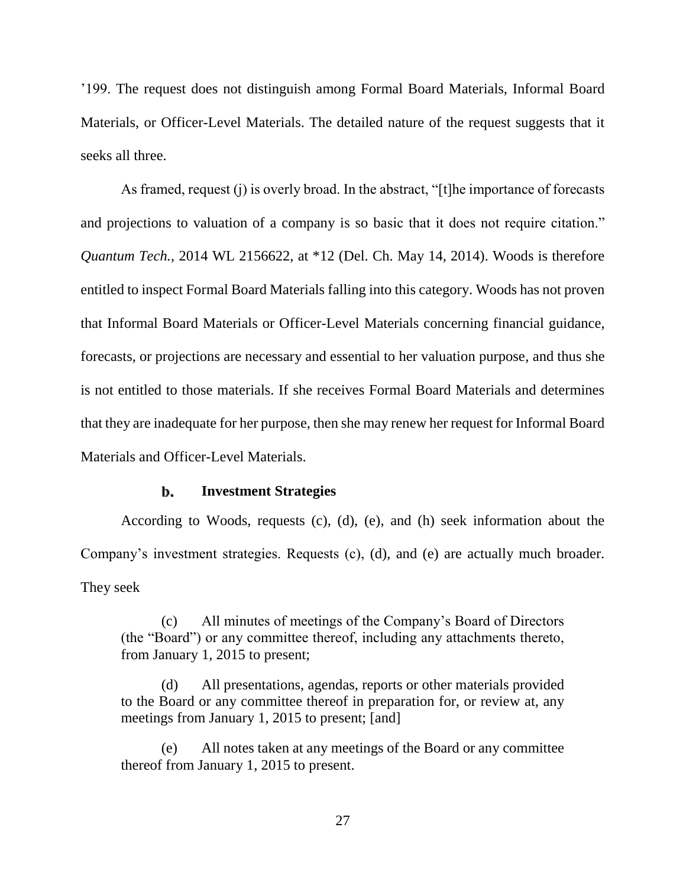'199. The request does not distinguish among Formal Board Materials, Informal Board Materials, or Officer-Level Materials. The detailed nature of the request suggests that it seeks all three.

As framed, request (j) is overly broad. In the abstract, "[t]he importance of forecasts and projections to valuation of a company is so basic that it does not require citation." *Quantum Tech.*, 2014 WL 2156622, at \*12 (Del. Ch. May 14, 2014). Woods is therefore entitled to inspect Formal Board Materials falling into this category. Woods has not proven that Informal Board Materials or Officer-Level Materials concerning financial guidance, forecasts, or projections are necessary and essential to her valuation purpose, and thus she is not entitled to those materials. If she receives Formal Board Materials and determines that they are inadequate for her purpose, then she may renew her request for Informal Board Materials and Officer-Level Materials.

#### b. **Investment Strategies**

According to Woods, requests (c), (d), (e), and (h) seek information about the Company's investment strategies. Requests (c), (d), and (e) are actually much broader. They seek

(c) All minutes of meetings of the Company's Board of Directors (the "Board") or any committee thereof, including any attachments thereto, from January 1, 2015 to present;

(d) All presentations, agendas, reports or other materials provided to the Board or any committee thereof in preparation for, or review at, any meetings from January 1, 2015 to present; [and]

(e) All notes taken at any meetings of the Board or any committee thereof from January 1, 2015 to present.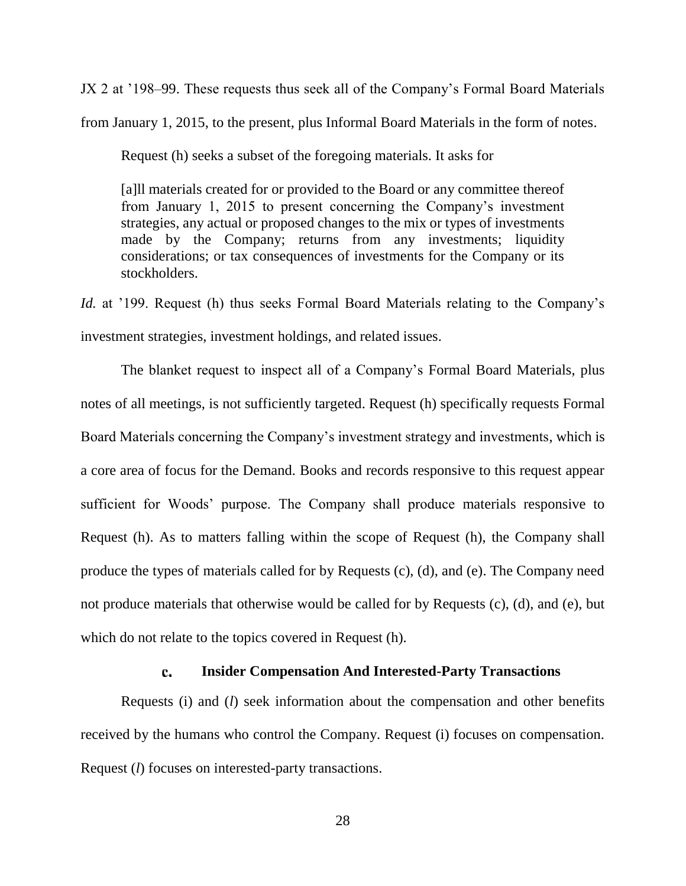JX 2 at '198–99. These requests thus seek all of the Company's Formal Board Materials from January 1, 2015, to the present, plus Informal Board Materials in the form of notes.

Request (h) seeks a subset of the foregoing materials. It asks for

[a]ll materials created for or provided to the Board or any committee thereof from January 1, 2015 to present concerning the Company's investment strategies, any actual or proposed changes to the mix or types of investments made by the Company; returns from any investments; liquidity considerations; or tax consequences of investments for the Company or its stockholders.

*Id.* at '199. Request (h) thus seeks Formal Board Materials relating to the Company's investment strategies, investment holdings, and related issues.

The blanket request to inspect all of a Company's Formal Board Materials, plus notes of all meetings, is not sufficiently targeted. Request (h) specifically requests Formal Board Materials concerning the Company's investment strategy and investments, which is a core area of focus for the Demand. Books and records responsive to this request appear sufficient for Woods' purpose. The Company shall produce materials responsive to Request (h). As to matters falling within the scope of Request (h), the Company shall produce the types of materials called for by Requests (c), (d), and (e). The Company need not produce materials that otherwise would be called for by Requests (c), (d), and (e), but which do not relate to the topics covered in Request (h).

#### **Insider Compensation And Interested-Party Transactions** c.

Requests (i) and (*l*) seek information about the compensation and other benefits received by the humans who control the Company. Request (i) focuses on compensation. Request (*l*) focuses on interested-party transactions.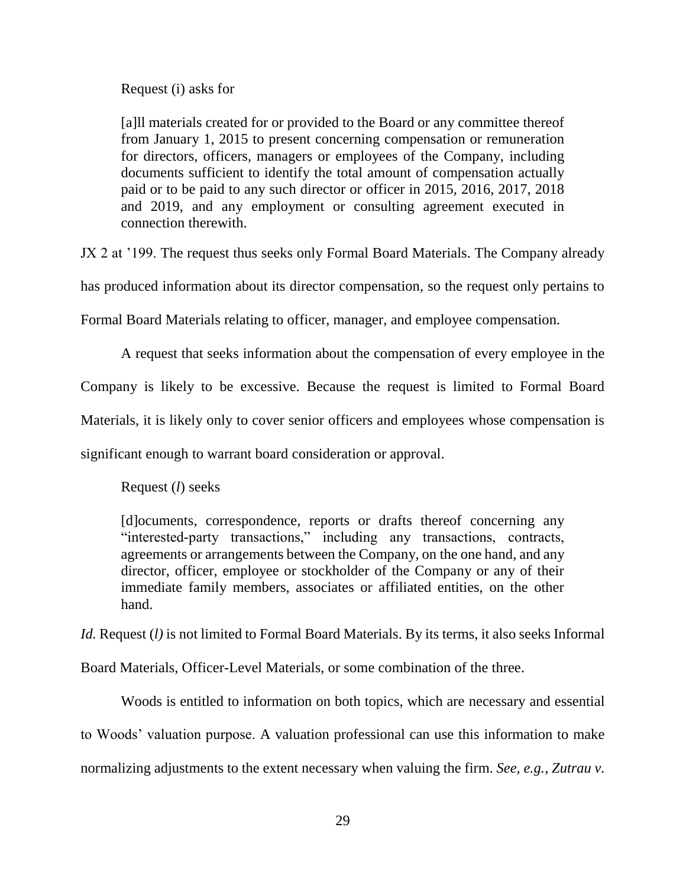Request (i) asks for

[a]ll materials created for or provided to the Board or any committee thereof from January 1, 2015 to present concerning compensation or remuneration for directors, officers, managers or employees of the Company, including documents sufficient to identify the total amount of compensation actually paid or to be paid to any such director or officer in 2015, 2016, 2017, 2018 and 2019, and any employment or consulting agreement executed in connection therewith.

JX 2 at '199. The request thus seeks only Formal Board Materials. The Company already

has produced information about its director compensation, so the request only pertains to

Formal Board Materials relating to officer, manager, and employee compensation.

A request that seeks information about the compensation of every employee in the

Company is likely to be excessive. Because the request is limited to Formal Board

Materials, it is likely only to cover senior officers and employees whose compensation is

significant enough to warrant board consideration or approval.

Request (*l*) seeks

[d]ocuments, correspondence, reports or drafts thereof concerning any "interested-party transactions," including any transactions, contracts, agreements or arrangements between the Company, on the one hand, and any director, officer, employee or stockholder of the Company or any of their immediate family members, associates or affiliated entities, on the other hand.

*Id.* Request (*l*) is not limited to Formal Board Materials. By its terms, it also seeks Informal

Board Materials, Officer-Level Materials, or some combination of the three.

Woods is entitled to information on both topics, which are necessary and essential to Woods' valuation purpose. A valuation professional can use this information to make normalizing adjustments to the extent necessary when valuing the firm. *See, e.g.*, *Zutrau v.*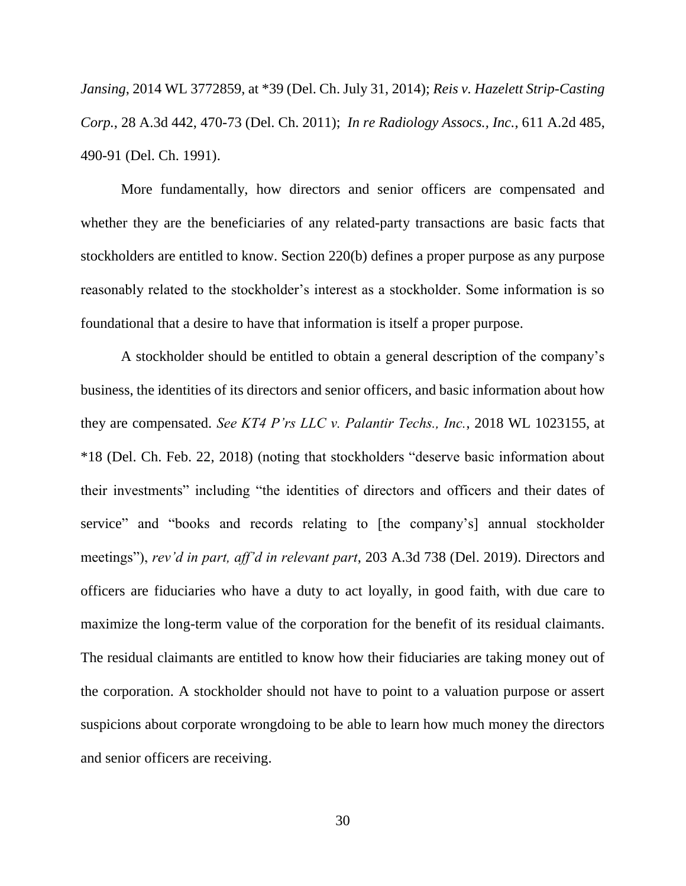*Jansing*, 2014 WL 3772859, at \*39 (Del. Ch. July 31, 2014); *Reis v. Hazelett Strip-Casting Corp.*, 28 A.3d 442, 470-73 (Del. Ch. 2011); *In re Radiology Assocs., Inc.*, 611 A.2d 485, 490-91 (Del. Ch. 1991).

More fundamentally, how directors and senior officers are compensated and whether they are the beneficiaries of any related-party transactions are basic facts that stockholders are entitled to know. Section 220(b) defines a proper purpose as any purpose reasonably related to the stockholder's interest as a stockholder. Some information is so foundational that a desire to have that information is itself a proper purpose.

A stockholder should be entitled to obtain a general description of the company's business, the identities of its directors and senior officers, and basic information about how they are compensated. *See KT4 P'rs LLC v. Palantir Techs., Inc.*, 2018 WL 1023155, at \*18 (Del. Ch. Feb. 22, 2018) (noting that stockholders "deserve basic information about their investments" including "the identities of directors and officers and their dates of service" and "books and records relating to [the company's] annual stockholder meetings"), *rev'd in part, aff'd in relevant part*, 203 A.3d 738 (Del. 2019). Directors and officers are fiduciaries who have a duty to act loyally, in good faith, with due care to maximize the long-term value of the corporation for the benefit of its residual claimants. The residual claimants are entitled to know how their fiduciaries are taking money out of the corporation. A stockholder should not have to point to a valuation purpose or assert suspicions about corporate wrongdoing to be able to learn how much money the directors and senior officers are receiving.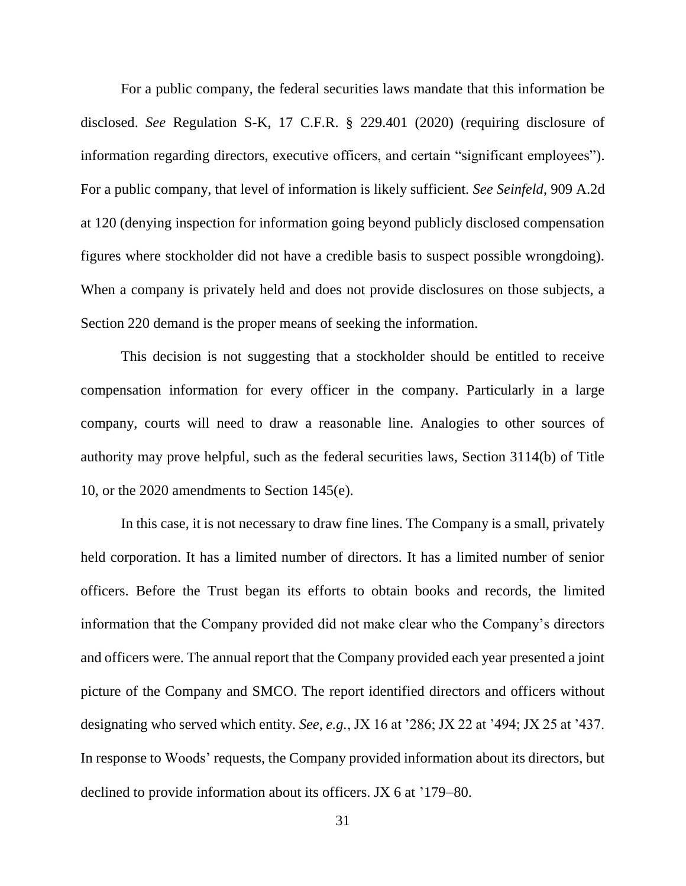For a public company, the federal securities laws mandate that this information be disclosed. *See* Regulation S-K, 17 C.F.R. § 229.401 (2020) (requiring disclosure of information regarding directors, executive officers, and certain "significant employees"). For a public company, that level of information is likely sufficient. *See Seinfeld*, 909 A.2d at 120 (denying inspection for information going beyond publicly disclosed compensation figures where stockholder did not have a credible basis to suspect possible wrongdoing). When a company is privately held and does not provide disclosures on those subjects, a Section 220 demand is the proper means of seeking the information.

This decision is not suggesting that a stockholder should be entitled to receive compensation information for every officer in the company. Particularly in a large company, courts will need to draw a reasonable line. Analogies to other sources of authority may prove helpful, such as the federal securities laws, Section 3114(b) of Title 10, or the 2020 amendments to Section 145(e).

In this case, it is not necessary to draw fine lines. The Company is a small, privately held corporation. It has a limited number of directors. It has a limited number of senior officers. Before the Trust began its efforts to obtain books and records, the limited information that the Company provided did not make clear who the Company's directors and officers were. The annual report that the Company provided each year presented a joint picture of the Company and SMCO. The report identified directors and officers without designating who served which entity. *See, e.g.*, JX 16 at '286; JX 22 at '494; JX 25 at '437. In response to Woods' requests, the Company provided information about its directors, but declined to provide information about its officers. JX  $6$  at  $179-80$ .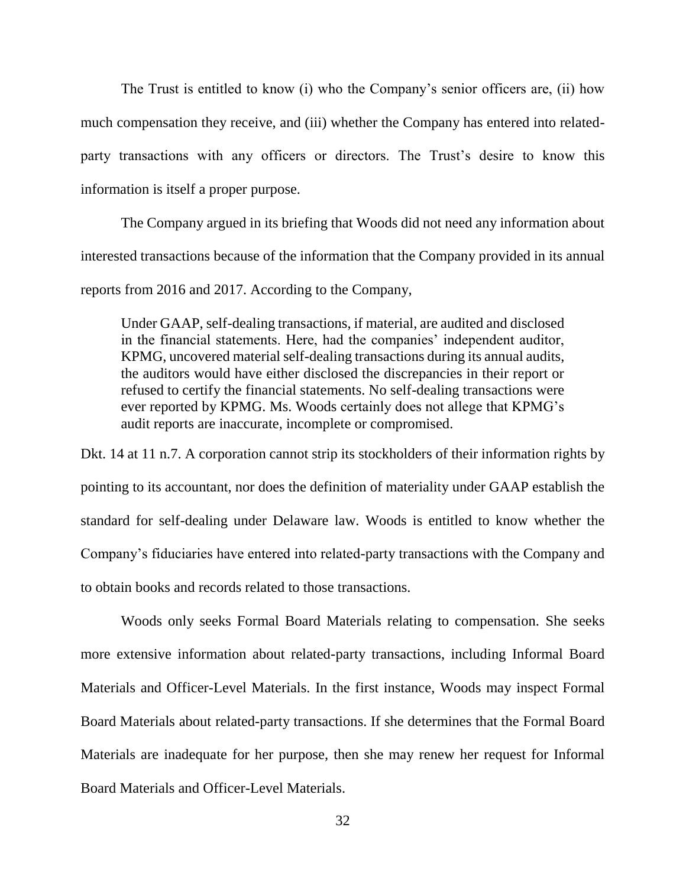The Trust is entitled to know (i) who the Company's senior officers are, (ii) how much compensation they receive, and (iii) whether the Company has entered into relatedparty transactions with any officers or directors. The Trust's desire to know this information is itself a proper purpose.

The Company argued in its briefing that Woods did not need any information about interested transactions because of the information that the Company provided in its annual reports from 2016 and 2017. According to the Company,

Under GAAP, self-dealing transactions, if material, are audited and disclosed in the financial statements. Here, had the companies' independent auditor, KPMG, uncovered material self-dealing transactions during its annual audits, the auditors would have either disclosed the discrepancies in their report or refused to certify the financial statements. No self-dealing transactions were ever reported by KPMG. Ms. Woods certainly does not allege that KPMG's audit reports are inaccurate, incomplete or compromised.

Dkt. 14 at 11 n.7. A corporation cannot strip its stockholders of their information rights by pointing to its accountant, nor does the definition of materiality under GAAP establish the standard for self-dealing under Delaware law. Woods is entitled to know whether the Company's fiduciaries have entered into related-party transactions with the Company and to obtain books and records related to those transactions.

Woods only seeks Formal Board Materials relating to compensation. She seeks more extensive information about related-party transactions, including Informal Board Materials and Officer-Level Materials. In the first instance, Woods may inspect Formal Board Materials about related-party transactions. If she determines that the Formal Board Materials are inadequate for her purpose, then she may renew her request for Informal Board Materials and Officer-Level Materials.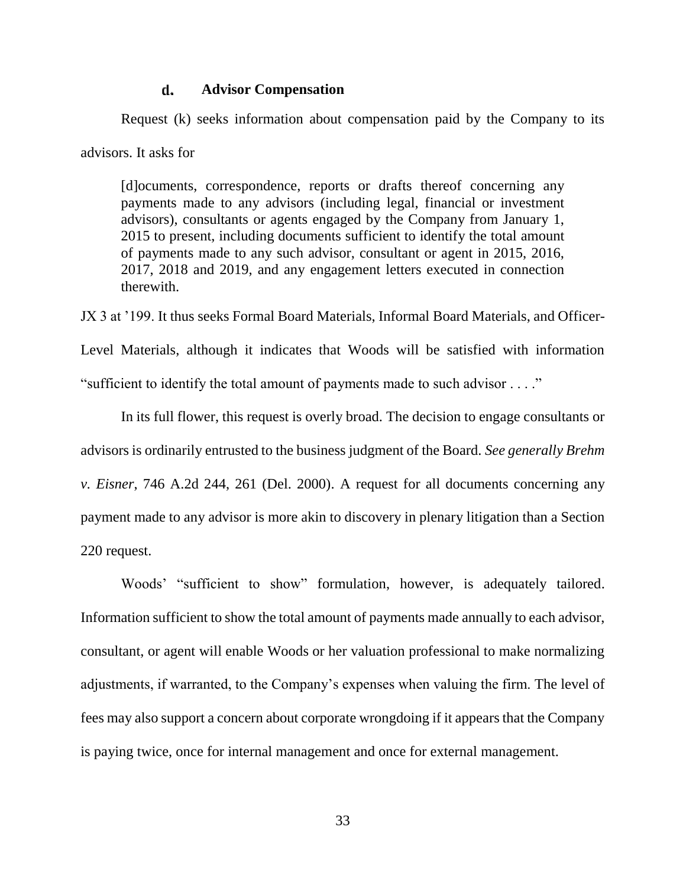#### d. **Advisor Compensation**

Request (k) seeks information about compensation paid by the Company to its advisors. It asks for

[d]ocuments, correspondence, reports or drafts thereof concerning any payments made to any advisors (including legal, financial or investment advisors), consultants or agents engaged by the Company from January 1, 2015 to present, including documents sufficient to identify the total amount of payments made to any such advisor, consultant or agent in 2015, 2016, 2017, 2018 and 2019, and any engagement letters executed in connection therewith.

JX 3 at '199. It thus seeks Formal Board Materials, Informal Board Materials, and Officer-

Level Materials, although it indicates that Woods will be satisfied with information "sufficient to identify the total amount of payments made to such advisor . . . ."

In its full flower, this request is overly broad. The decision to engage consultants or advisors is ordinarily entrusted to the business judgment of the Board. *See generally Brehm v. Eisner*, 746 A.2d 244, 261 (Del. 2000). A request for all documents concerning any payment made to any advisor is more akin to discovery in plenary litigation than a Section 220 request.

Woods' "sufficient to show" formulation, however, is adequately tailored. Information sufficient to show the total amount of payments made annually to each advisor, consultant, or agent will enable Woods or her valuation professional to make normalizing adjustments, if warranted, to the Company's expenses when valuing the firm. The level of fees may also support a concern about corporate wrongdoing if it appears that the Company is paying twice, once for internal management and once for external management.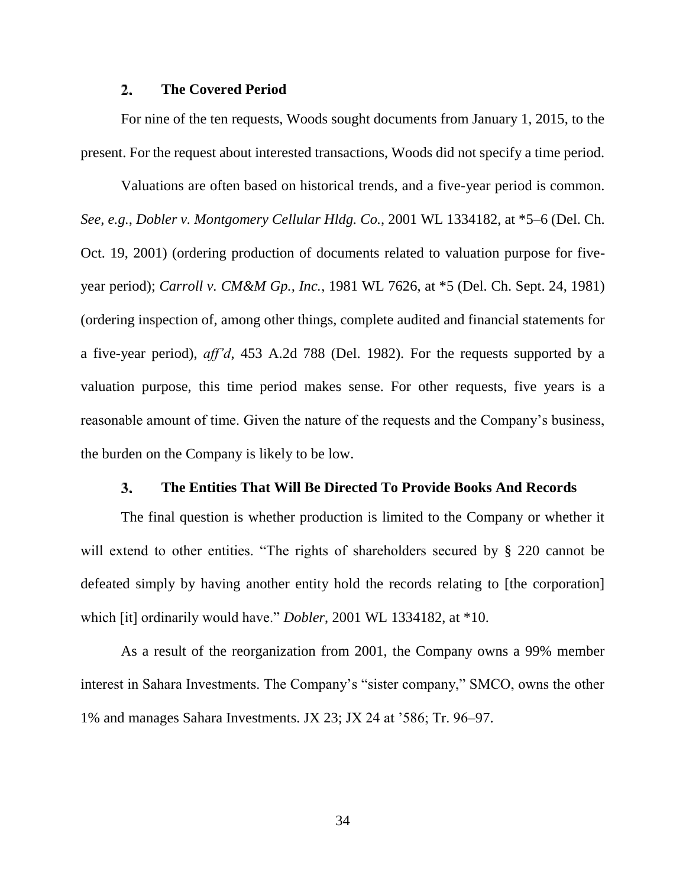#### $2.$ **The Covered Period**

For nine of the ten requests, Woods sought documents from January 1, 2015, to the present. For the request about interested transactions, Woods did not specify a time period.

Valuations are often based on historical trends, and a five-year period is common. *See, e.g.*, *Dobler v. Montgomery Cellular Hldg. Co.*, 2001 WL 1334182, at \*5–6 (Del. Ch. Oct. 19, 2001) (ordering production of documents related to valuation purpose for fiveyear period); *Carroll v. CM&M Gp., Inc.*, 1981 WL 7626, at \*5 (Del. Ch. Sept. 24, 1981) (ordering inspection of, among other things, complete audited and financial statements for a five-year period), *aff'd*, 453 A.2d 788 (Del. 1982). For the requests supported by a valuation purpose, this time period makes sense. For other requests, five years is a reasonable amount of time. Given the nature of the requests and the Company's business, the burden on the Company is likely to be low.

#### 3. **The Entities That Will Be Directed To Provide Books And Records**

<span id="page-34-0"></span>The final question is whether production is limited to the Company or whether it will extend to other entities. "The rights of shareholders secured by § 220 cannot be defeated simply by having another entity hold the records relating to [the corporation] which [it] ordinarily would have." *Dobler*, 2001 WL 1334182, at \*10.

As a result of the reorganization from 2001, the Company owns a 99% member interest in Sahara Investments. The Company's "sister company," SMCO, owns the other 1% and manages Sahara Investments. JX 23; JX 24 at '586; Tr. 96–97.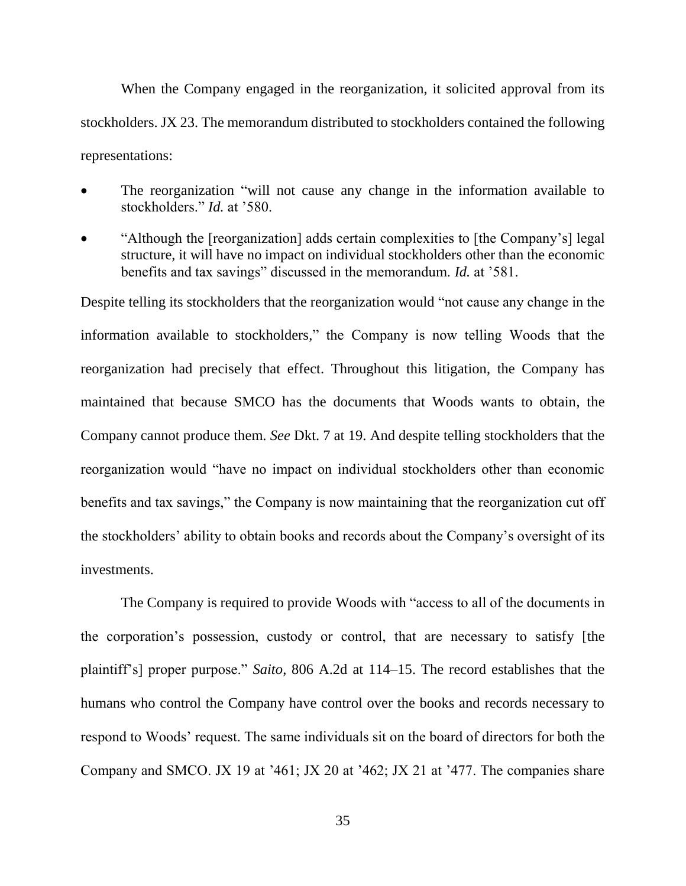When the Company engaged in the reorganization, it solicited approval from its stockholders. JX 23. The memorandum distributed to stockholders contained the following representations:

- The reorganization "will not cause any change in the information available to stockholders." *Id.* at '580.
- "Although the [reorganization] adds certain complexities to [the Company's] legal structure, it will have no impact on individual stockholders other than the economic benefits and tax savings" discussed in the memorandum. *Id.* at '581.

Despite telling its stockholders that the reorganization would "not cause any change in the information available to stockholders," the Company is now telling Woods that the reorganization had precisely that effect. Throughout this litigation, the Company has maintained that because SMCO has the documents that Woods wants to obtain, the Company cannot produce them. *See* Dkt. 7 at 19. And despite telling stockholders that the reorganization would "have no impact on individual stockholders other than economic benefits and tax savings," the Company is now maintaining that the reorganization cut off the stockholders' ability to obtain books and records about the Company's oversight of its investments.

The Company is required to provide Woods with "access to all of the documents in the corporation's possession, custody or control, that are necessary to satisfy [the plaintiff's] proper purpose." *Saito*, 806 A.2d at 114–15. The record establishes that the humans who control the Company have control over the books and records necessary to respond to Woods' request. The same individuals sit on the board of directors for both the Company and SMCO. JX 19 at '461; JX 20 at '462; JX 21 at '477. The companies share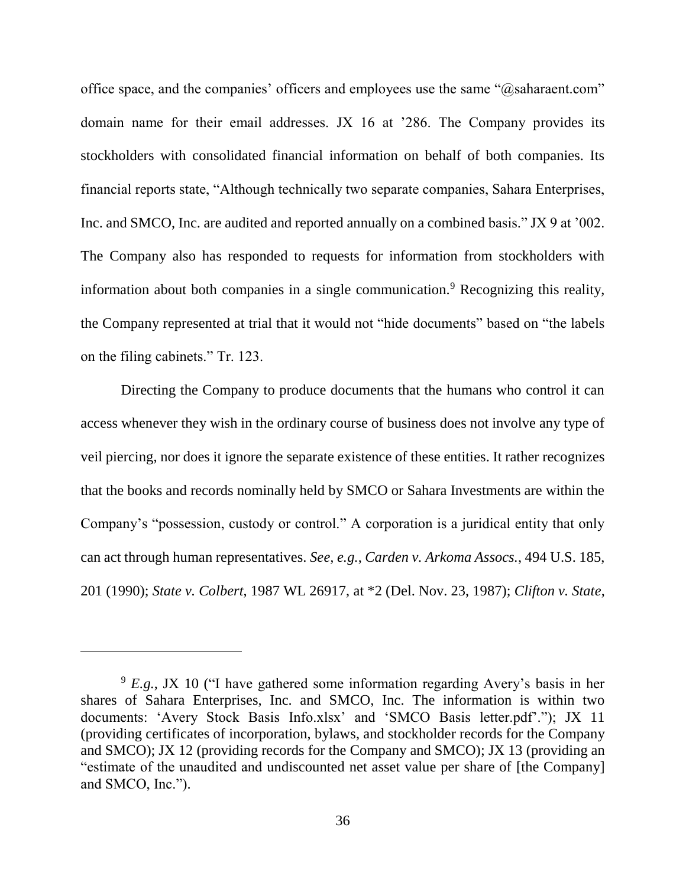office space, and the companies' officers and employees use the same "@saharaent.com" domain name for their email addresses. JX 16 at '286. The Company provides its stockholders with consolidated financial information on behalf of both companies. Its financial reports state, "Although technically two separate companies, Sahara Enterprises, Inc. and SMCO, Inc. are audited and reported annually on a combined basis." JX 9 at '002. The Company also has responded to requests for information from stockholders with information about both companies in a single communication.<sup>9</sup> Recognizing this reality, the Company represented at trial that it would not "hide documents" based on "the labels on the filing cabinets." Tr. 123.

Directing the Company to produce documents that the humans who control it can access whenever they wish in the ordinary course of business does not involve any type of veil piercing, nor does it ignore the separate existence of these entities. It rather recognizes that the books and records nominally held by SMCO or Sahara Investments are within the Company's "possession, custody or control." A corporation is a juridical entity that only can act through human representatives. *See, e.g.*, *Carden v. Arkoma Assocs.*, 494 U.S. 185, 201 (1990); *State v. Colbert*, 1987 WL 26917, at \*2 (Del. Nov. 23, 1987); *Clifton v. State*,

 $\overline{a}$ 

<sup>9</sup> *E.g.*, JX 10 ("I have gathered some information regarding Avery's basis in her shares of Sahara Enterprises, Inc. and SMCO, Inc. The information is within two documents: 'Avery Stock Basis Info.xlsx' and 'SMCO Basis letter.pdf'."); JX 11 (providing certificates of incorporation, bylaws, and stockholder records for the Company and SMCO); JX 12 (providing records for the Company and SMCO); JX 13 (providing an "estimate of the unaudited and undiscounted net asset value per share of [the Company] and SMCO, Inc.").